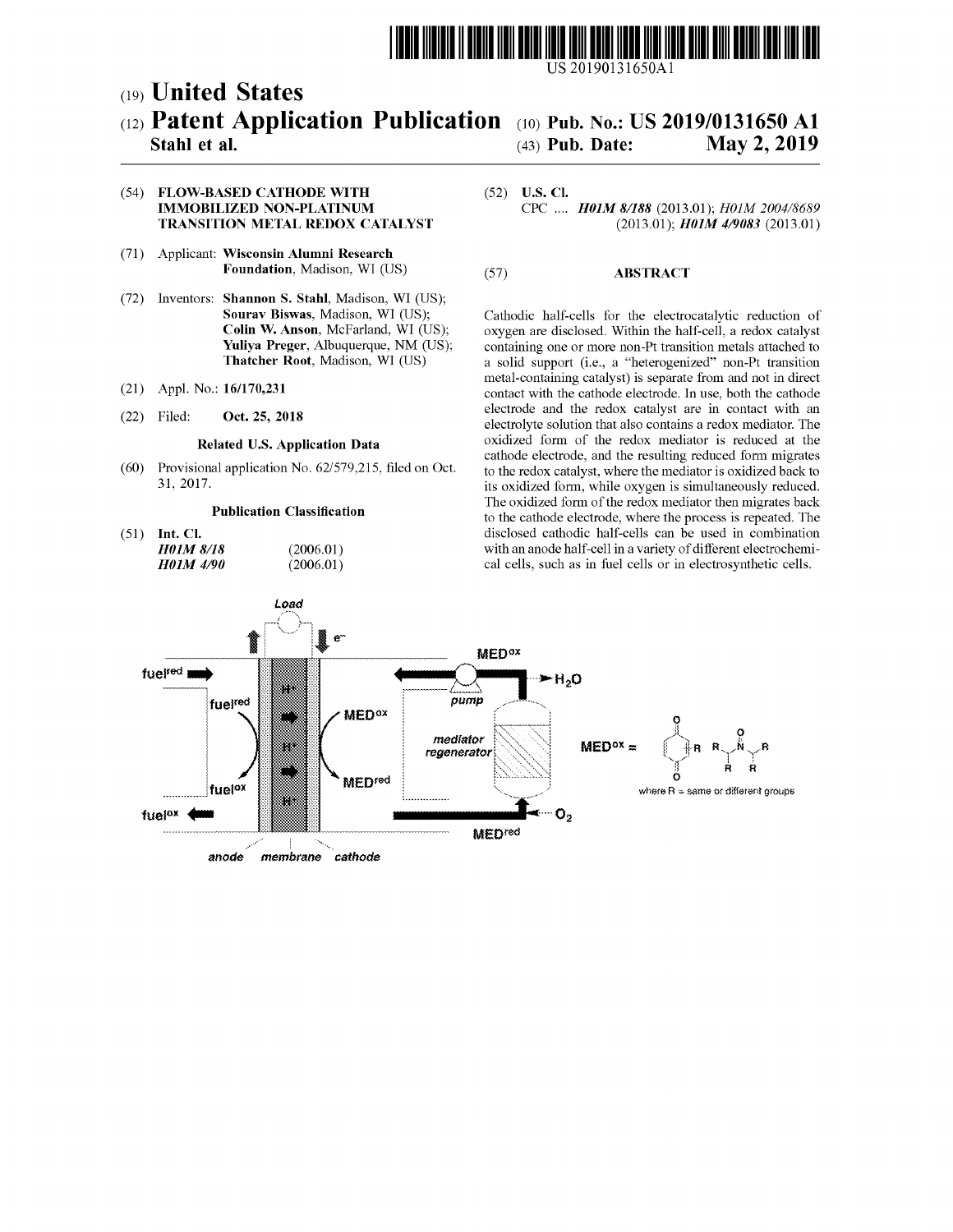

US 20190131650Al

## c19) **United States**  c12) **Patent Application Publication**  c10) Pub. No.: US 2019/0131650 Al

# (43) Pub. Date: May 2, 2019

### **Stahl et al.**

#### (54) **FLOW-BASED CATHODE WITH IMMOBILIZED NON-PLATINUM TRANSITION METAL REDOX CATALYST**

- (71) Applicant: **Wisconsin Alumni Research Foundation,** Madison, WI (US)
- (72) Inventors: **Shannon S. Stahl,** Madison, WI (US); **Sourav Biswas,** Madison, WI (US); **Colin W. Anson,** McFarland, WI (US); **Yuliya Preger,** Albuquerque, NM (US); **Thatcher Root,** Madison, WI (US)
- (21) Appl. No.: **16/170,231**
- (22) Filed: **Oct. 25, 2018**

#### **Related U.S. Application Data**

(60) Provisional application No. 62/579,215, filed on Oct. 31, 2017.

> (2006.01)  $(2006.01)$

#### **Publication Classification**

(51) **Int. Cl.**  *H0lM 8/18 H0lM 4190* 

#### (52) **U.S. Cl.**  CPC .... *H0lM 8/188* (2013.01); *HOJM 2004/8689*  (2013.01); *H0lM 419083* (2013.01)

#### (57) **ABSTRACT**

Cathodic half-cells for the electrocatalytic reduction of oxygen are disclosed. Within the half-cell, a redox catalyst containing one or more non-Pt transition metals attached to a solid support (i.e., a "heterogenized" non-Pt transition metal-containing catalyst) is separate from and not in direct contact with the cathode electrode. In use, both the cathode electrode and the redox catalyst are in contact with an electrolyte solution that also contains a redox mediator. The oxidized form of the redox mediator is reduced at the cathode electrode, and the resulting reduced form migrates to the redox catalyst, where the mediator is oxidized back to its oxidized form, while oxygen is simultaneously reduced. The oxidized form of the redox mediator then migrates back to the cathode electrode, where the process is repeated. The disclosed cathodic half-cells can be used in combination with an anode half-cell in a variety of different electrochemical cells, such as in fuel cells or in electrosynthetic cells.

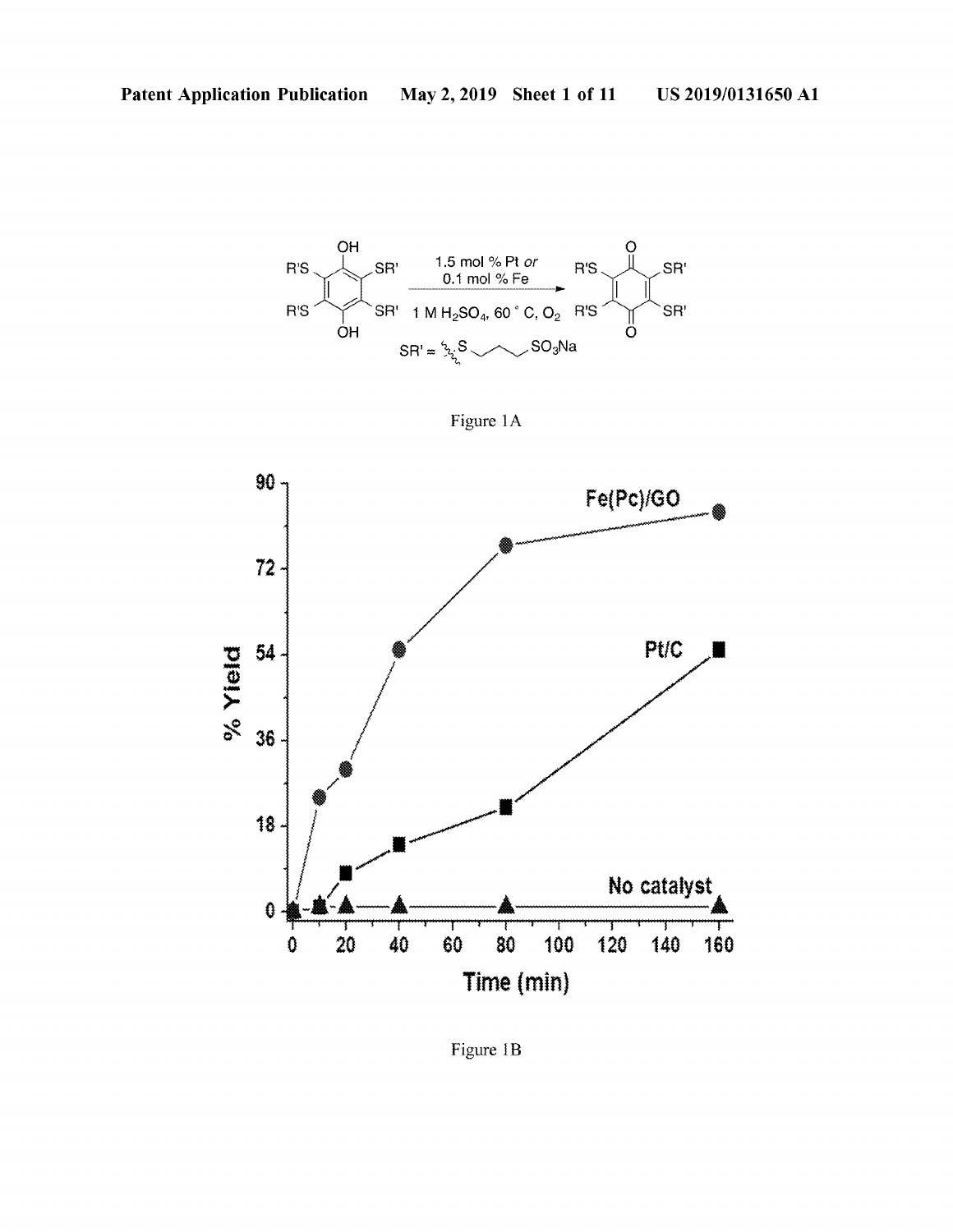

Figure 1A



Figure 1B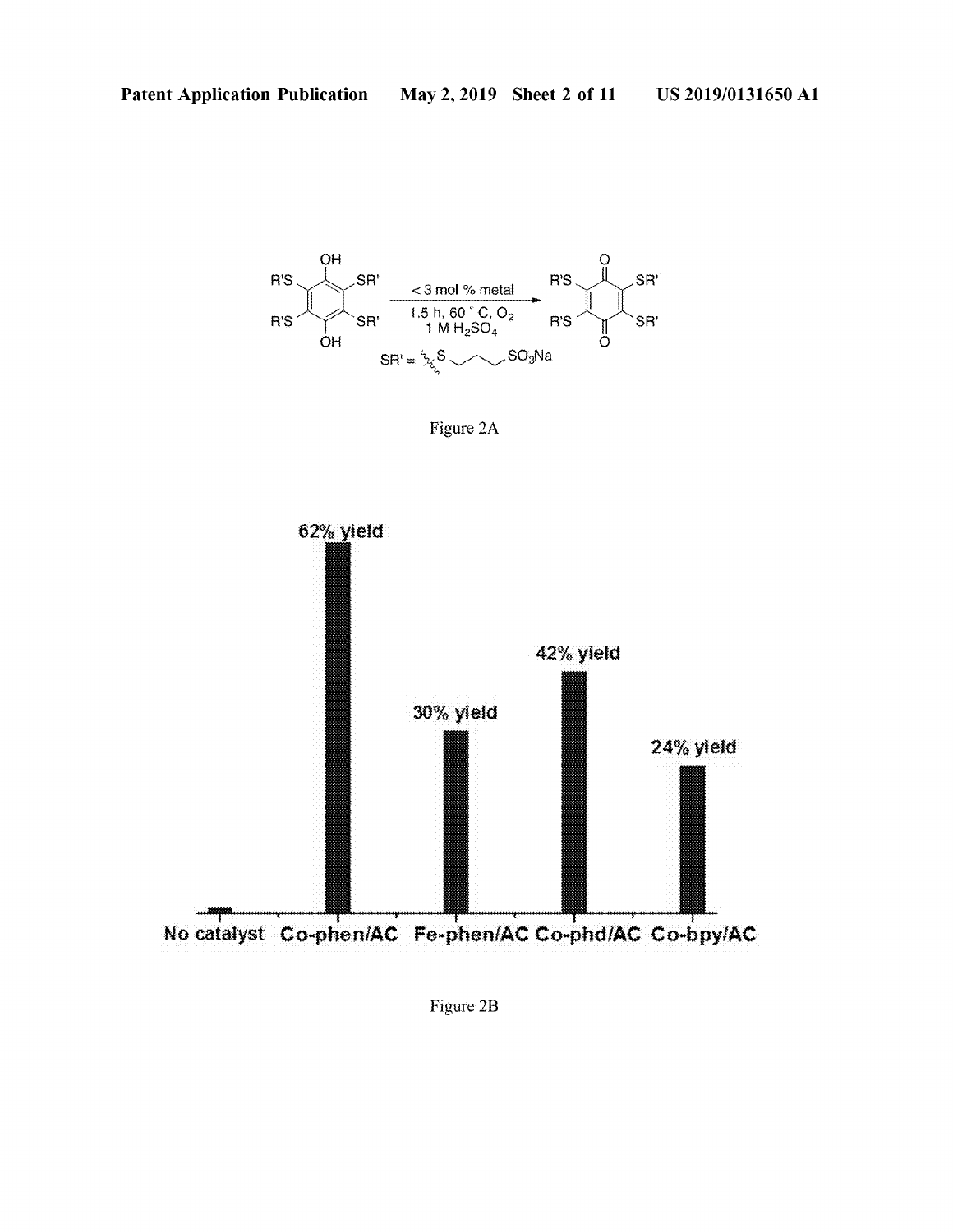

Figure 2A



Figure 2B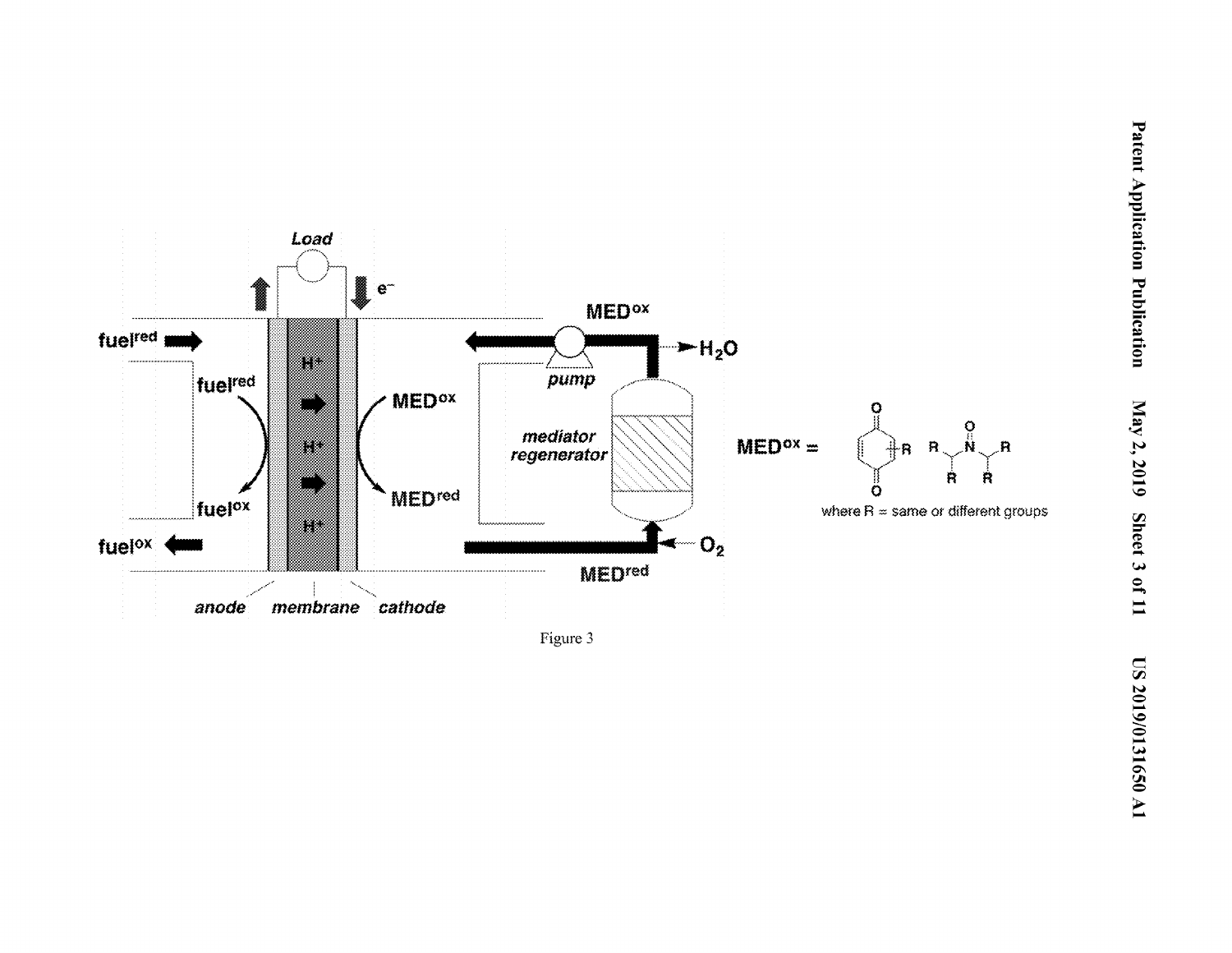

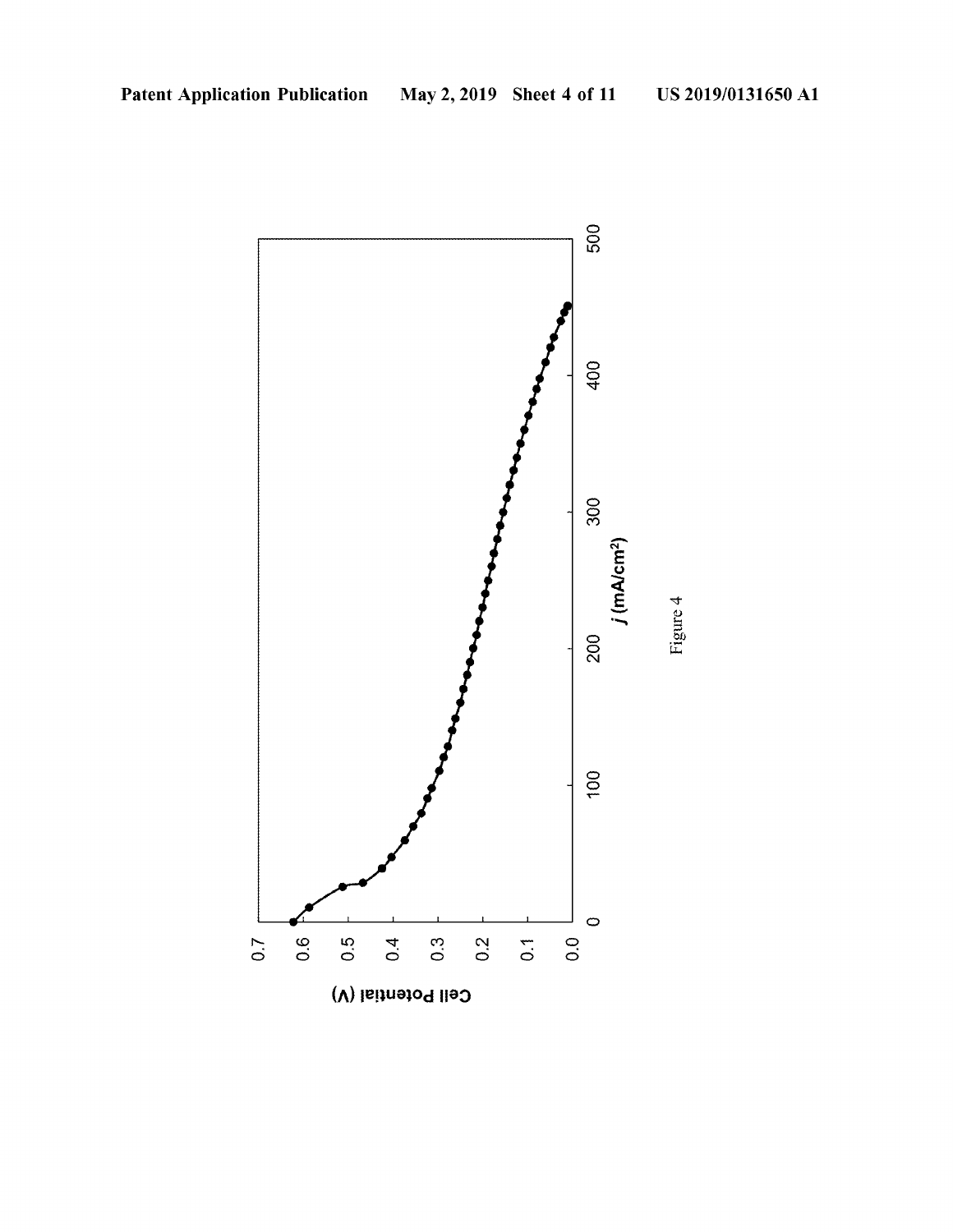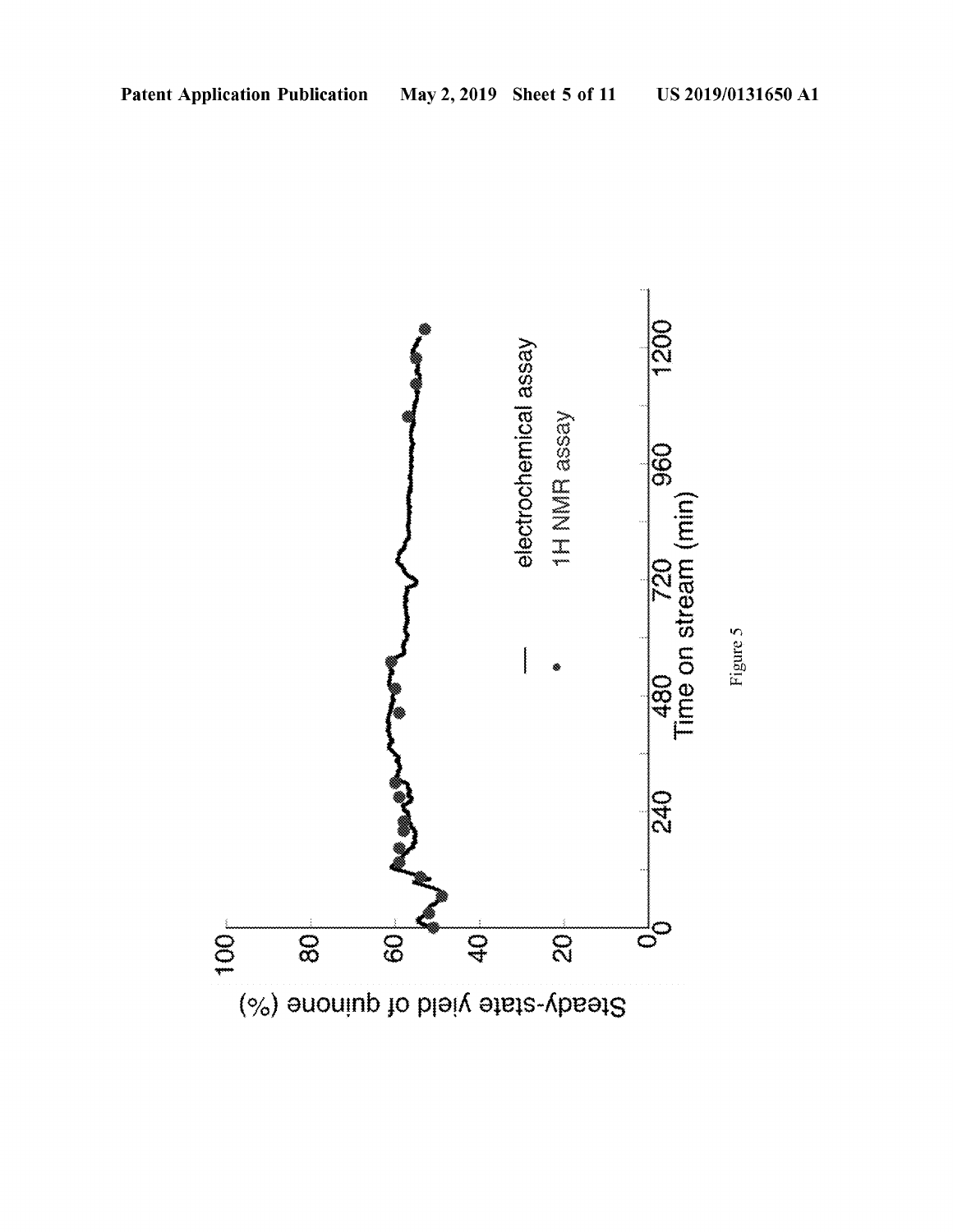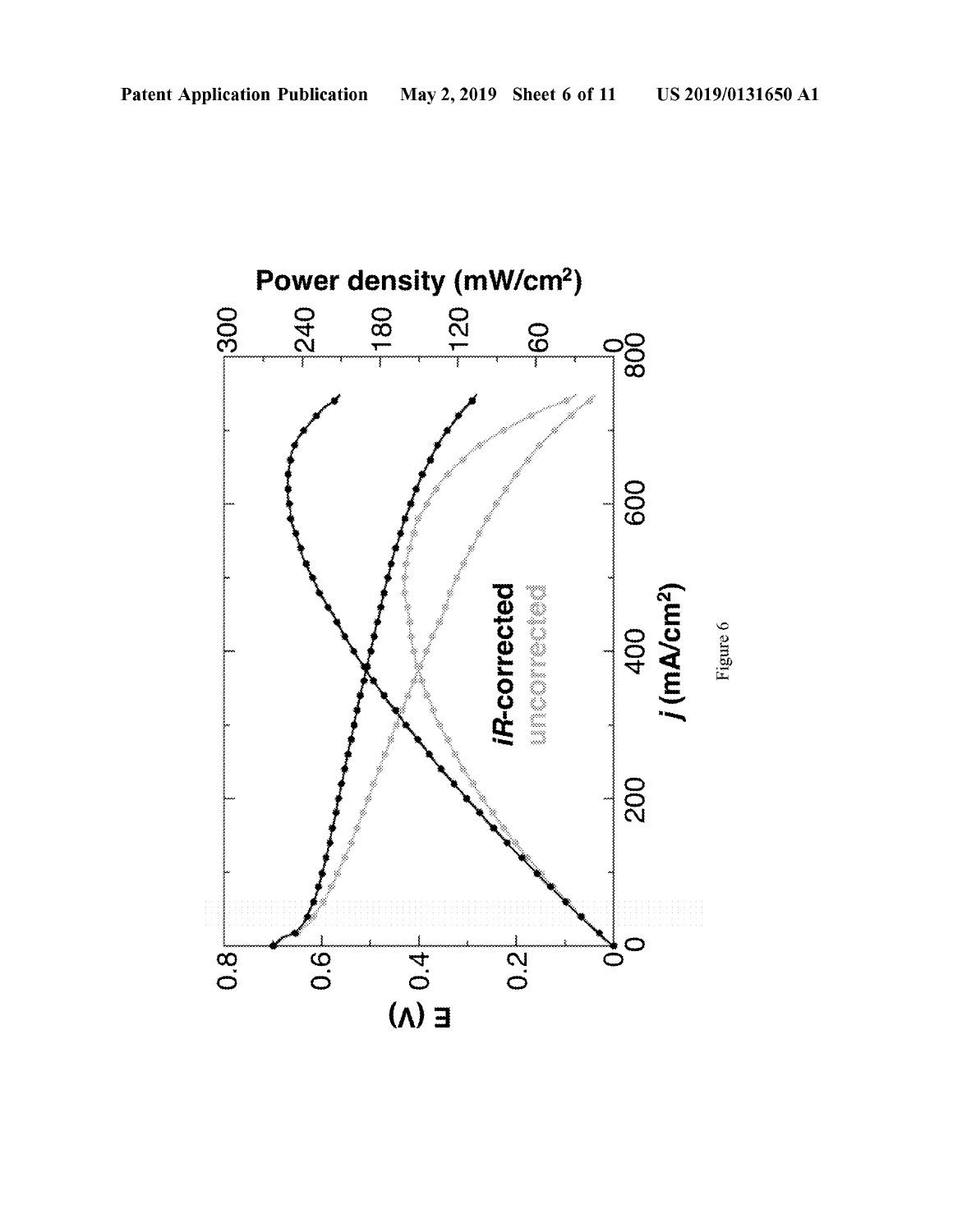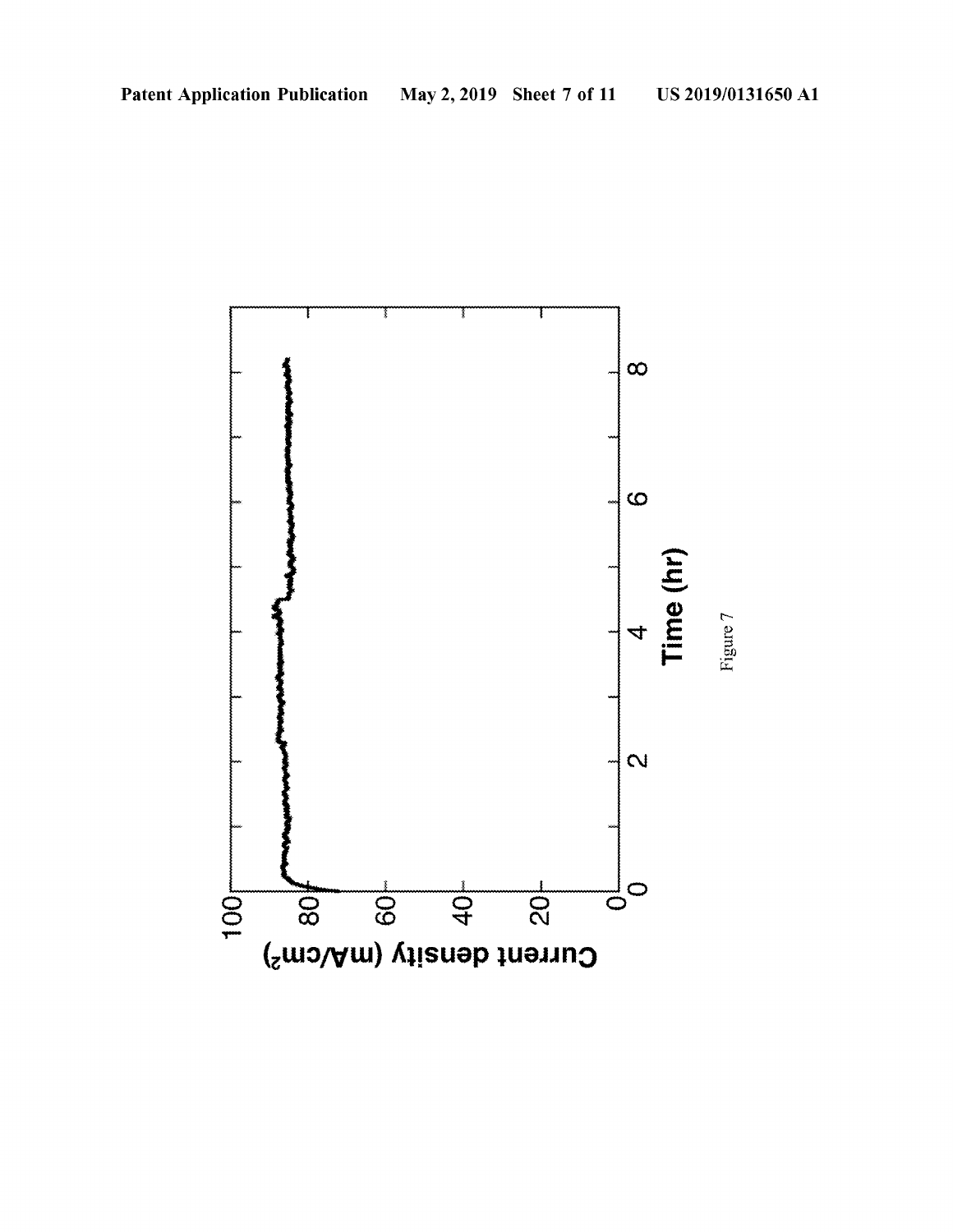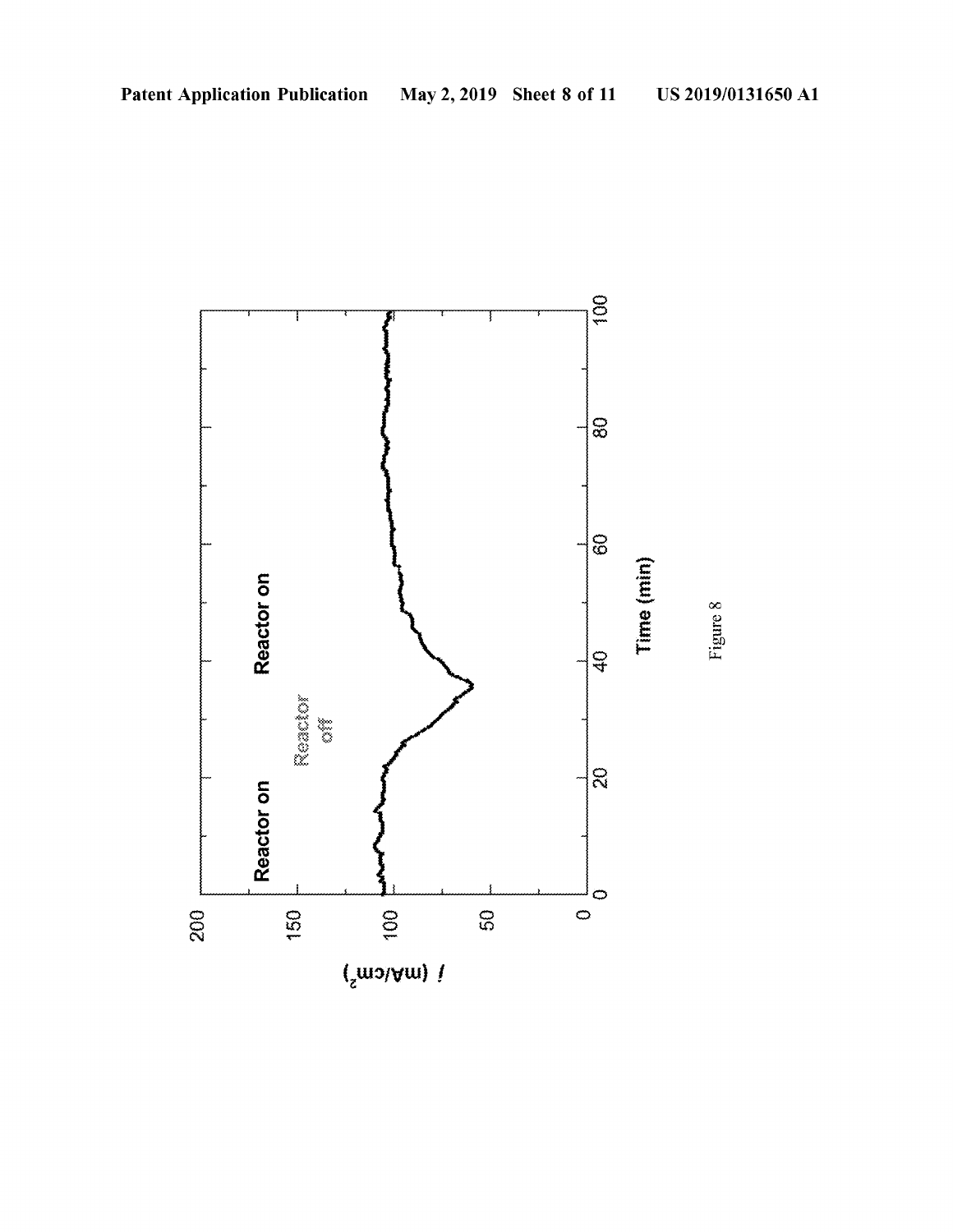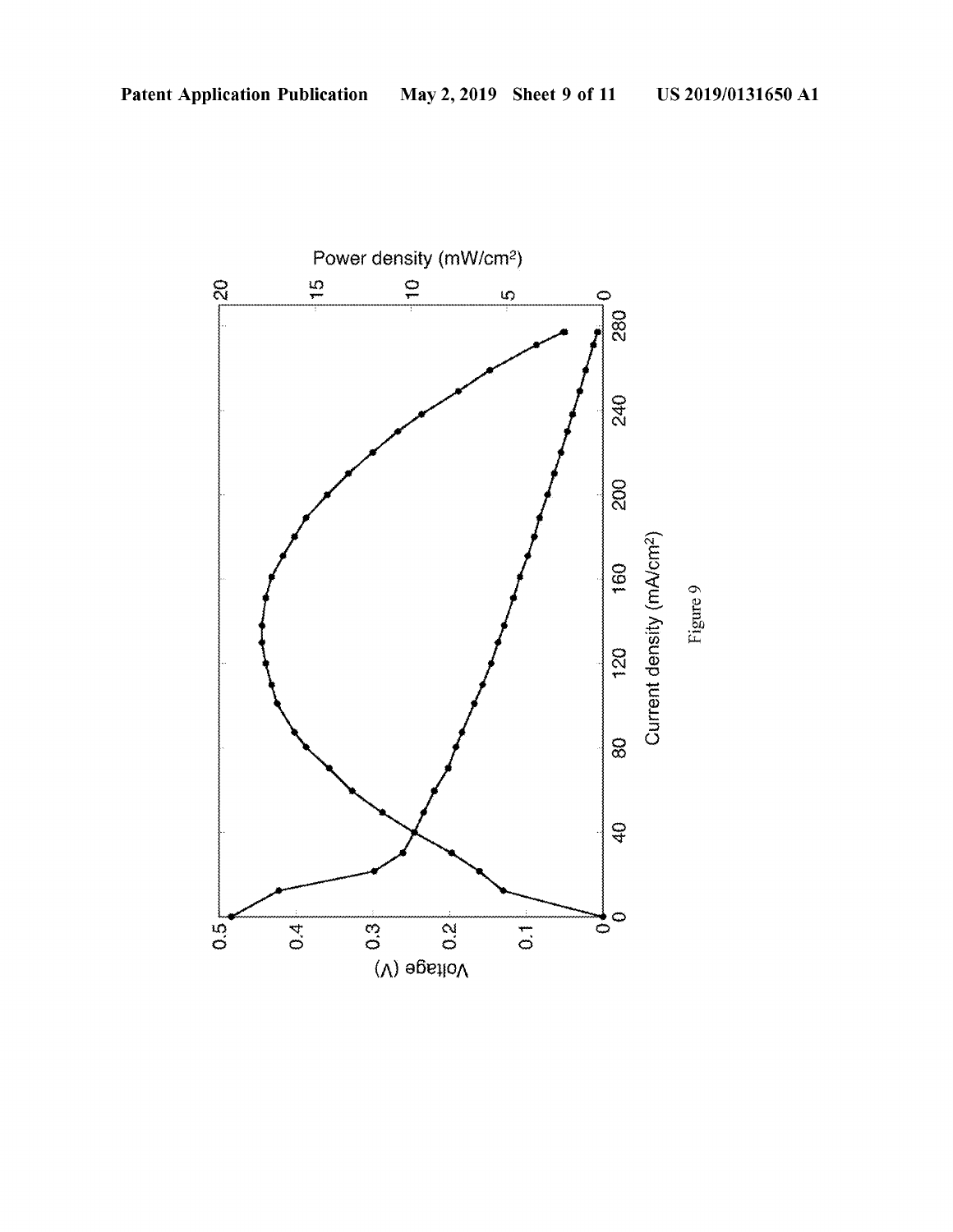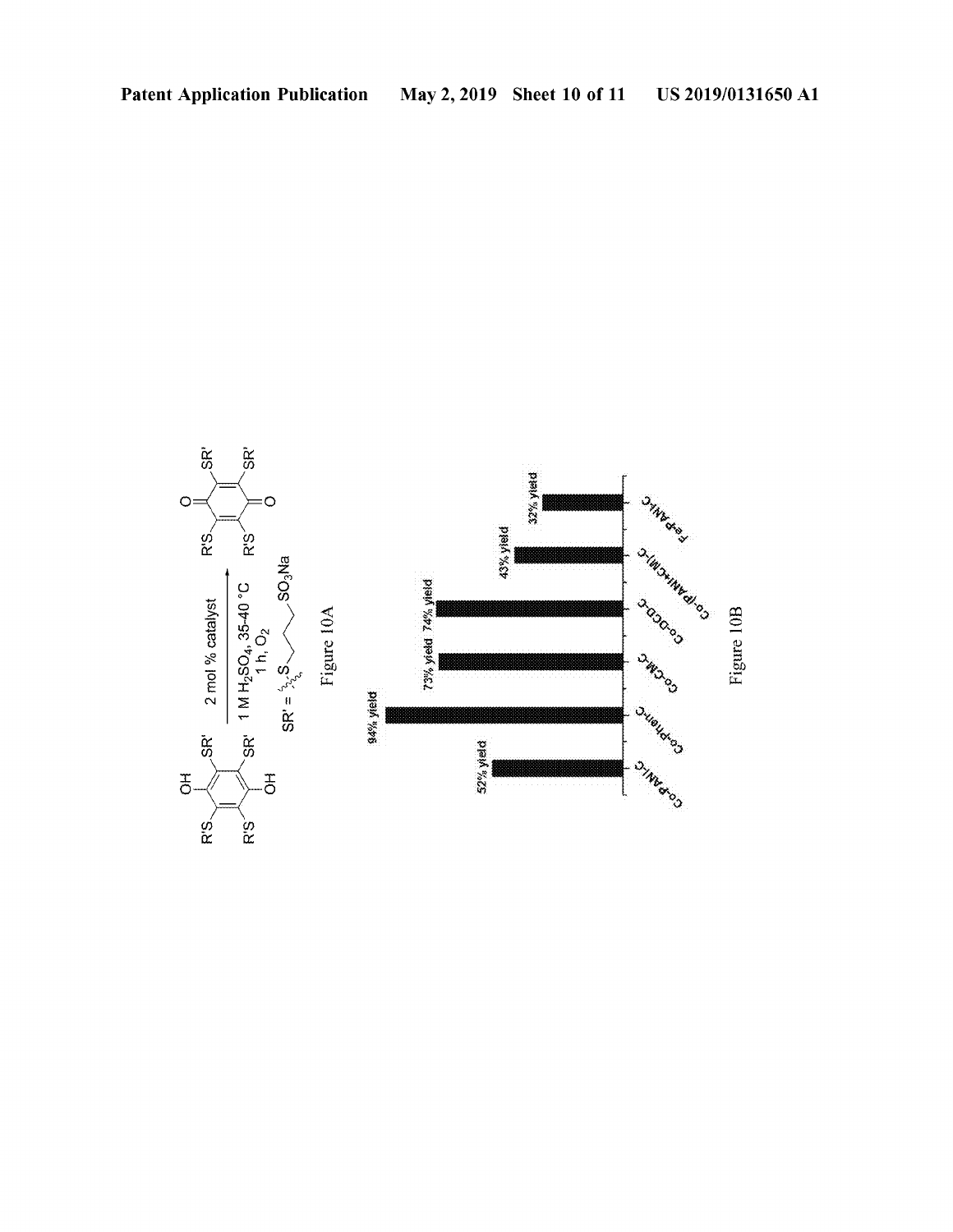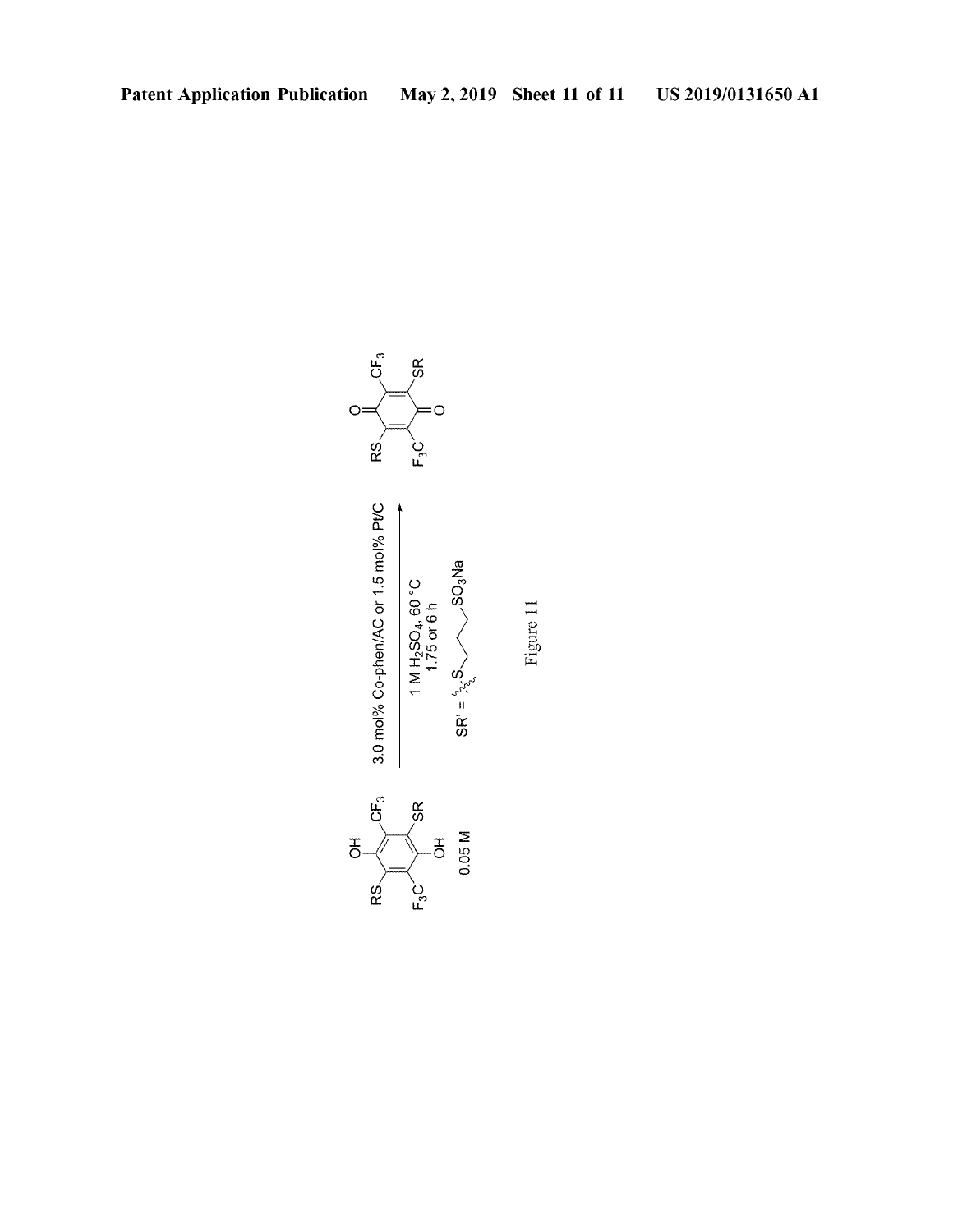

Figure 11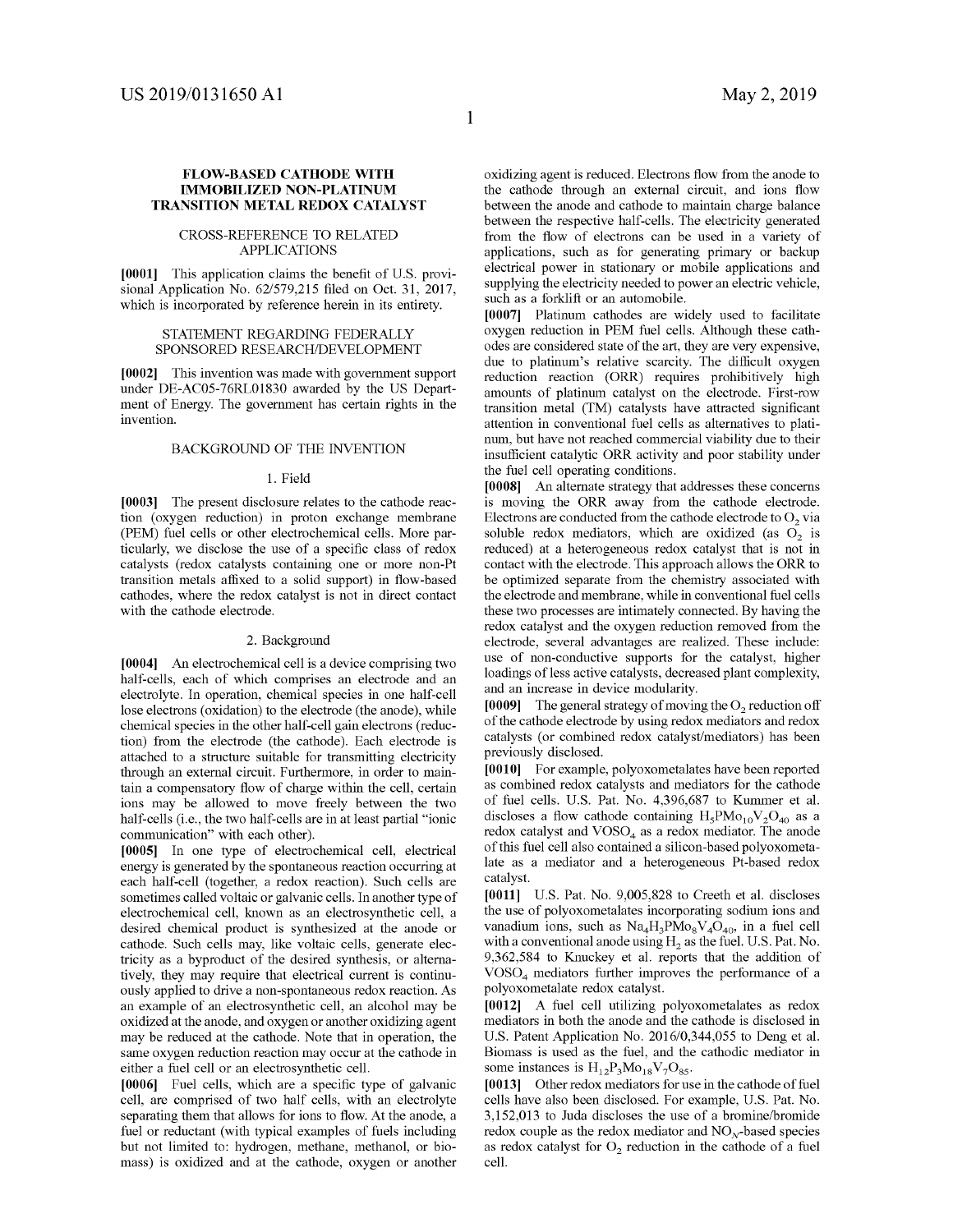#### **FLOW-BASED CATHODE WITH IMMOBILIZED NON-PLATINUM TRANSITION METAL REDOX CATALYST**

#### CROSS-REFERENCE TO RELATED APPLICATIONS

**[0001]** This application claims the benefit of U.S. provisional Application No. 62/579,215 filed on Oct. 31, 2017, which is incorporated by reference herein in its entirety.

#### STATEMENT REGARDING FEDERALLY SPONSORED RESEARCH/DEVELOPMENT

**[0002]** This invention was made with govermnent support under DE-AC05-76RL01830 awarded by the US Department of Energy. The government has certain rights in the invention.

#### BACKGROUND OF THE INVENTION

#### 1. Field

**[0003]** The present disclosure relates to the cathode reaction (oxygen reduction) in proton exchange membrane (PEM) fuel cells or other electrochemical cells. More particularly, we disclose the use of a specific class of redox catalysts (redox catalysts containing one or more non-Pt transition metals affixed to a solid support) in flow-based cathodes, where the redox catalyst is not in direct contact with the cathode electrode.

#### 2. Background

**[0004]** An electrochemical cell is a device comprising two half-cells, each of which comprises an electrode and an electrolyte. In operation, chemical species in one half-cell lose electrons (oxidation) to the electrode (the anode), while chemical species in the other half-cell gain electrons (reduction) from the electrode (the cathode). Each electrode is attached to a structure suitable for transmitting electricity through an external circuit. Furthermore, in order to maintain a compensatory flow of charge within the cell, certain ions may be allowed to move freely between the two half-cells (i.e., the two half-cells are in at least partial "ionic communication" with each other).

**[0005]** In one type of electrochemical cell, electrical energy is generated by the spontaneous reaction occurring at each half-cell (together, a redox reaction). Such cells are sometimes called voltaic or galvanic cells. In another type of electrochemical cell, known as an electrosynthetic cell, a desired chemical product is synthesized at the anode or cathode. Such cells may, like voltaic cells, generate electricity as a byproduct of the desired synthesis, or alternatively, they may require that electrical current is continuously applied to drive a non-spontaneous redox reaction. As an example of an electrosynthetic cell, an alcohol may be oxidized at the anode, and oxygen or another oxidizing agent may be reduced at the cathode. Note that in operation, the same oxygen reduction reaction may occur at the cathode in either a fuel cell or an electrosynthetic cell.

**[0006]** Fuel cells, which are a specific type of galvanic cell, are comprised of two half cells, with an electrolyte separating them that allows for ions to flow. At the anode, a fuel or reductant (with typical examples of fuels including but not limited to: hydrogen, methane, methanol, or biomass) is oxidized and at the cathode, oxygen or another oxidizing agent is reduced. Electrons flow from the anode to the cathode through an external circuit, and ions flow between the anode and cathode to maintain charge balance between the respective half-cells. The electricity generated from the flow of electrons can be used in a variety of applications, such as for generating primary or backup electrical power in stationary or mobile applications and supplying the electricity needed to power an electric vehicle, such as a forklift or an automobile.

**[0007]** Platinum cathodes are widely used to facilitate oxygen reduction in PEM fuel cells. Although these cathodes are considered state of the art, they are very expensive, due to platinum's relative scarcity. The difficult oxygen reduction reaction (ORR) requires prohibitively high amounts of platinum catalyst on the electrode. First-row transition metal (TM) catalysts have attracted significant attention in conventional fuel cells as alternatives to platinum, but have not reached commercial viability due to their insufficient catalytic ORR activity and poor stability under the fuel cell operating conditions.

**[0008]** An alternate strategy that addresses these concerns is moving the ORR away from the cathode electrode. Electrons are conducted from the cathode electrode to  $O<sub>2</sub>$  via soluble redox mediators, which are oxidized (as  $O<sub>2</sub>$  is reduced) at a heterogeneous redox catalyst that is not in contact with the electrode. This approach allows the ORR to be optimized separate from the chemistry associated with the electrode and membrane, while in conventional fuel cells these two processes are intimately connected. By having the redox catalyst and the oxygen reduction removed from the electrode, several advantages are realized. These include: use of non-conductive supports for the catalyst, higher loadings of less active catalysts, decreased plant complexity, and an increase in device modularity.

[0009] The general strategy of moving the  $O<sub>2</sub>$  reduction off of the cathode electrode by using redox mediators and redox catalysts ( or combined redox catalyst/mediators) has been previously disclosed.

**[0010]** For example, polyoxometalates have been reported as combined redox catalysts and mediators for the cathode of fuel cells. U.S. Pat. No. 4,396,687 to Kummer et al. discloses a flow cathode containing  $H_5PMo_{10}V_2O_{40}$  as a redox catalyst and  $VOSO<sub>4</sub>$  as a redox mediator. The anode of this fuel cell also contained a silicon-based polyoxometalate as a mediator and a heterogeneous Pt-based redox catalyst.

**[0011]** U.S. Pat. No. 9,005,828 to Creeth et al. discloses the use of polyoxometalates incorporating sodium ions and vanadium ions, such as  $Na<sub>4</sub>H<sub>3</sub>PMo<sub>8</sub>V<sub>4</sub>O<sub>40</sub>$ , in a fuel cell with a conventional anode using  $H_2$  as the fuel. U.S. Pat. No. 9,362,584 to Knuckey et al. reports that the addition of VOSO4 mediators further improves the performance of a polyoxometalate redox catalyst.

**[0012]** A fuel cell utilizing polyoxometalates as redox mediators in both the anode and the cathode is disclosed in U.S. Patent Application No. 2016/0,344,055 to Deng et al. Biomass is used as the fuel, and the cathodic mediator in some instances is  $H_{12}P_3Mo_{18}V_7O_{85}$ .

**[0013]** Other redox mediators for use in the cathode of fuel cells have also been disclosed. For example, U.S. Pat. No. 3,152,013 to Juda discloses the use of a bromine/bromide redox couple as the redox mediator and  $NO<sub>x</sub>$ -based species as redox catalyst for  $O<sub>2</sub>$  reduction in the cathode of a fuel cell.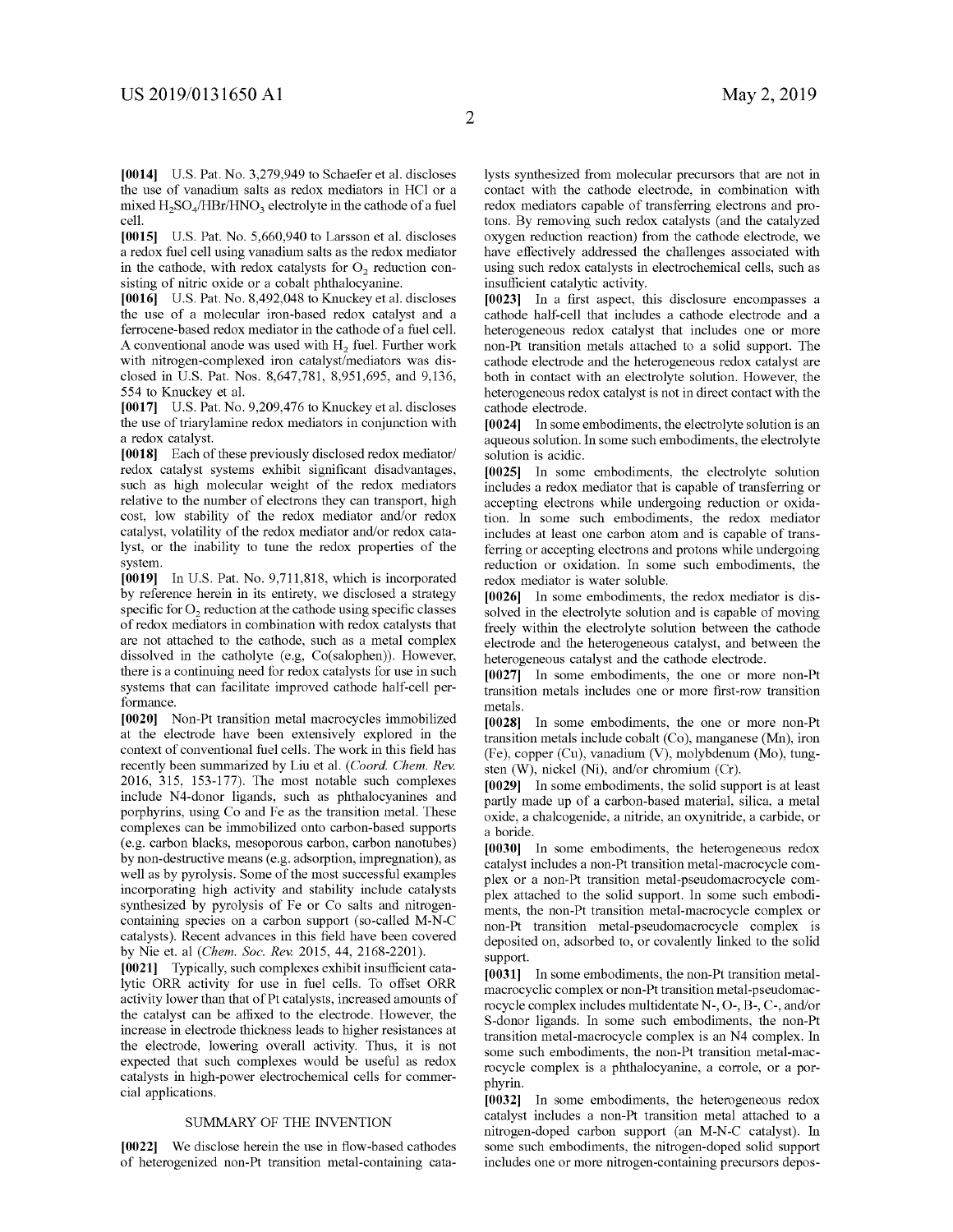**[0014]** U.S. Pat. No. 3,279,949 to Schaefer et al. discloses the use of vanadium salts as redox mediators in HCl or a mixed  $H_2SO_4 / HBr/HNO_3$  electrolyte in the cathode of a fuel cell.

**[0015]** U.S. Pat. No. 5,660,940 to Larsson et al. discloses a redox fuel cell using vanadium salts as the redox mediator in the cathode, with redox catalysts for  $O<sub>2</sub>$  reduction consisting of nitric oxide or a cobalt phthalocyanine.

**[0016]** U.S. Pat. No. 8,492,048 to Knuckey et al. discloses the use of a molecular iron-based redox catalyst and a ferrocene-based redox mediator in the cathode of a fuel cell. A conventional anode was used with  $H<sub>2</sub>$  fuel. Further work with nitrogen-complexed iron catalyst/mediators was disclosed in U.S. Pat. Nos. 8,647,781, 8,951,695, and 9,136, 554 to Knuckey et al.

**[0017]** U.S. Pat. No. 9,209,476 to Knuckey et al. discloses the use of triarylamine redox mediators in conjunction with a redox catalyst.

**[0018]** Each of these previously disclosed redox mediator/ redox catalyst systems exhibit significant disadvantages, such as high molecular weight of the redox mediators relative to the number of electrons they can transport, high cost, low stability of the redox mediator and/or redox catalyst, volatility of the redox mediator and/or redox catalyst, or the inability to tune the redox properties of the system.

**[0019]** In U.S. Pat. No. 9,711,818, which is incorporated by reference herein in its entirety, we disclosed a strategy specific for  $O<sub>2</sub>$  reduction at the cathode using specific classes of redox mediators in combination with redox catalysts that are not attached to the cathode, such as a metal complex dissolved in the catholyte (e.g, Co(salophen)). However, there is a continuing need for redox catalysts for use in such systems that can facilitate improved cathode half-cell performance.

**[0020]** Non-Pt transition metal macrocycles immobilized at the electrode have been extensively explored in the context of conventional fuel cells. The work in this field has recently been summarized by Liu et al. *(Coard. Chem. Rev.*  2016, 315, 153-177). The most notable such complexes include N4-donor ligands, such as phthalocyanines and porphyrins, using Co and Fe as the transition metal. These complexes can be immobilized onto carbon-based supports (e.g. carbon blacks, mesoporous carbon, carbon nanotubes) by non-destructive means (e.g. adsorption, impregnation), as well as by pyrolysis. Some of the most successful examples incorporating high activity and stability include catalysts synthesized by pyrolysis of Fe or Co salts and nitrogencontaining species on a carbon support (so-called M-N-C catalysts). Recent advances in this field have been covered by Nie et. al *(Chem. Soc. Rev.* 2015, 44, 2168-2201).

**[0021]** Typically, such complexes exhibit insufficient catalytic ORR activity for use in fuel cells. To offset ORR activity lower than that of Pt catalysts, increased amounts of the catalyst can be affixed to the electrode. However, the increase in electrode thickness leads to higher resistances at the electrode, lowering overall activity. Thus, it is not expected that such complexes would be useful as redox catalysts in high-power electrochemical cells for commercial applications.

#### SUMMARY OF THE INVENTION

**[0022]** We disclose herein the use in flow-based cathodes of heterogenized non-Pt transition metal-containing catalysts synthesized from molecular precursors that are not in contact with the cathode electrode, in combination with redox mediators capable of transferring electrons and protons. By removing such redox catalysts (and the catalyzed oxygen reduction reaction) from the cathode electrode, we have effectively addressed the challenges associated with using such redox catalysts in electrochemical cells, such as insufficient catalytic activity.

**[0023]** In a first aspect, this disclosure encompasses a cathode half-cell that includes a cathode electrode and a heterogeneous redox catalyst that includes one or more non-Pt transition metals attached to a solid support. The cathode electrode and the heterogeneous redox catalyst are both in contact with an electrolyte solution. However, the heterogeneous redox catalyst is not in direct contact with the cathode electrode.

**[0024]** In some embodiments, the electrolyte solution is an aqueous solution. In some such embodiments, the electrolyte solution is acidic.

**[0025]** In some embodiments, the electrolyte solution includes a redox mediator that is capable of transferring or accepting electrons while undergoing reduction or oxidation. In some such embodiments, the redox mediator includes at least one carbon atom and is capable of transferring or accepting electrons and protons while undergoing reduction or oxidation. In some such embodiments, the redox mediator is water soluble.

**[0026]** In some embodiments, the redox mediator is dissolved in the electrolyte solution and is capable of moving freely within the electrolyte solution between the cathode electrode and the heterogeneous catalyst, and between the heterogeneous catalyst and the cathode electrode.

**[0027]** In some embodiments, the one or more non-Pt transition metals includes one or more first-row transition metals.

**[0028]** In some embodiments, the one or more non-Pt transition metals include cobalt (Co), manganese (Mn), iron (Fe), copper (Cu), vanadium (V), molybdenum (Mo), tungsten (W), nickel (Ni), and/or chromium (Cr).

**[0029]** In some embodiments, the solid support is at least partly made up of a carbon-based material, silica, a metal oxide, a chalcogenide, a nitride, an oxynitride, a carbide, or a boride.

**[0030]** In some embodiments, the heterogeneous redox catalyst includes a non-Pt transition metal-macrocycle complex or a non-Pt transition metal-pseudomacrocycle complex attached to the solid support. In some such embodiments, the non-Pt transition metal-macrocycle complex or non-Pt transition metal-pseudomacrocycle complex is deposited on, adsorbed to, or covalently linked to the solid support.

**[0031]** In some embodiments, the non-Pt transition metalmacrocyclic complex or non-Pt transition metal-pseudomacrocycle complex includes multidentate N-, 0-, B-, C-, and/or S-donor ligands. In some such embodiments, the non-Pt transition metal-macrocycle complex is an N4 complex. In some such embodiments, the non-Pt transition metal-macrocycle complex is a phthalocyanine, a corrole, or a porphyrin.

**[0032]** In some embodiments, the heterogeneous redox catalyst includes a non-Pt transition metal attached to a nitrogen-doped carbon support (an M-N-C catalyst). In some such embodiments, the nitrogen-doped solid support includes one or more nitrogen-containing precursors depos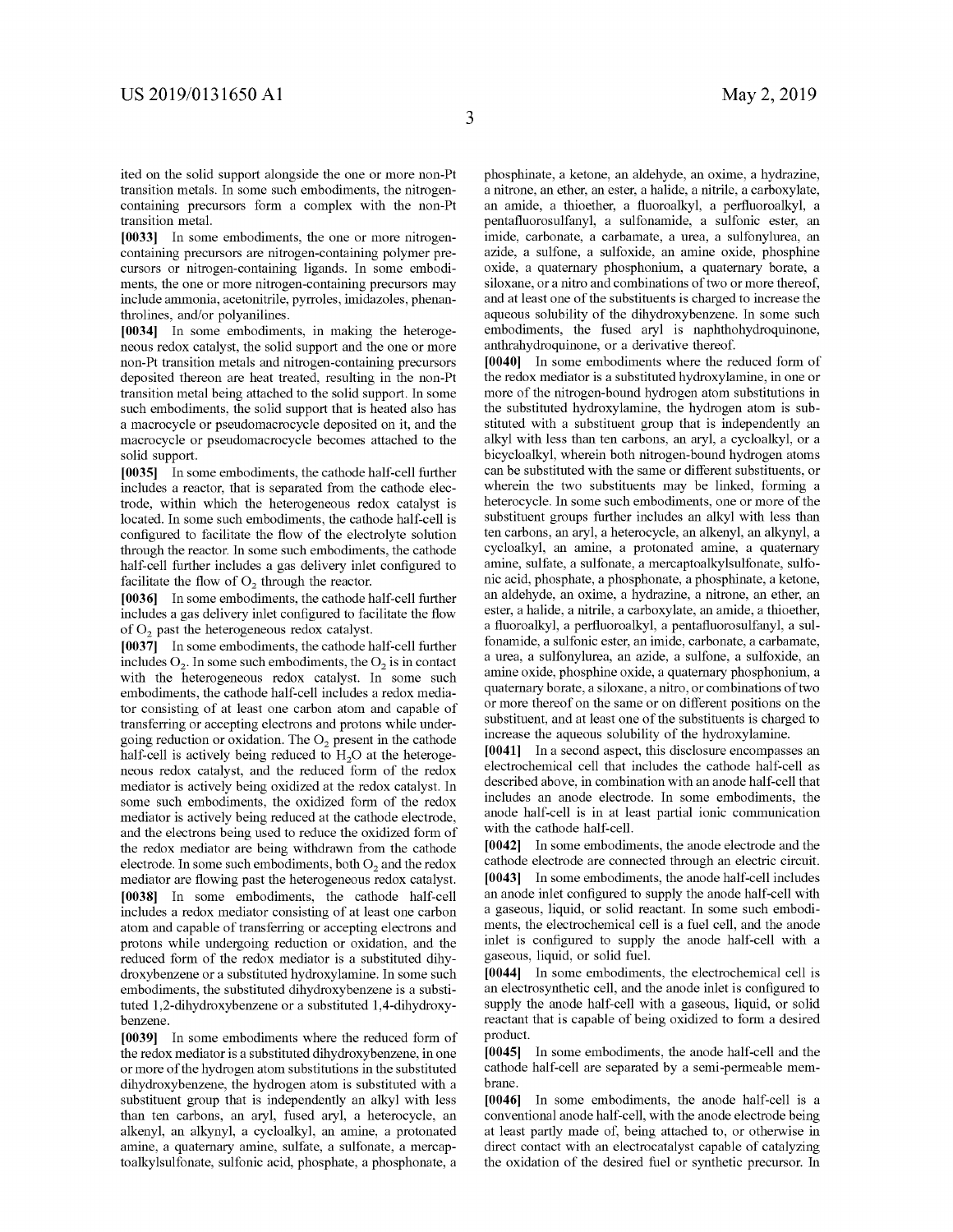ited on the solid support alongside the one or more non-Pt transition metals. In some such embodiments, the nitrogencontaining precursors form a complex with the non-Pt transition metal.

**[0033]** In some embodiments, the one or more nitrogencontaining precursors are nitrogen-containing polymer precursors or nitrogen-containing ligands. In some embodiments, the one or more nitrogen-containing precursors may include ammonia, acetonitrile, pyrroles, imidazoles, phenanthrolines, and/or polyanilines.

**[0034]** In some embodiments, in making the heterogeneous redox catalyst, the solid support and the one or more non-Pt transition metals and nitrogen-containing precursors deposited thereon are heat treated, resulting in the non-Pt transition metal being attached to the solid support. In some such embodiments, the solid support that is heated also has a macrocycle or pseudomacrocycle deposited on it, and the macrocycle or pseudomacrocycle becomes attached to the solid support.

**[0035]** In some embodiments, the cathode half-cell further includes a reactor, that is separated from the cathode electrode, within which the heterogeneous redox catalyst is located. In some such embodiments, the cathode half-cell is configured to facilitate the flow of the electrolyte solution through the reactor. In some such embodiments, the cathode half-cell further includes a gas delivery inlet configured to facilitate the flow of  $O<sub>2</sub>$  through the reactor.

**[0036]** In some embodiments, the cathode half-cell further includes a gas delivery inlet configured to facilitate the flow of O<sub>2</sub> past the heterogeneous redox catalyst.

**[0037]** In some embodiments, the cathode half-cell further includes  $O_2$ . In some such embodiments, the  $O_2$  is in contact with the heterogeneous redox catalyst. In some such embodiments, the cathode half-cell includes a redox mediator consisting of at least one carbon atom and capable of transferring or accepting electrons and protons while undergoing reduction or oxidation. The  $O<sub>2</sub>$  present in the cathode half-cell is actively being reduced to  $H<sub>2</sub>O$  at the heterogeneous redox catalyst, and the reduced form of the redox mediator is actively being oxidized at the redox catalyst. In some such embodiments, the oxidized form of the redox mediator is actively being reduced at the cathode electrode, and the electrons being used to reduce the oxidized form of the redox mediator are being withdrawn from the cathode electrode. In some such embodiments, both  $O<sub>2</sub>$  and the redox mediator are flowing past the heterogeneous redox catalyst. **[0038]** In some embodiments, the cathode half-cell includes a redox mediator consisting of at least one carbon atom and capable of transferring or accepting electrons and protons while undergoing reduction or oxidation, and the reduced form of the redox mediator is a substituted dihydroxybenzene or a substituted hydroxylamine. In some such embodiments, the substituted dihydroxybenzene is a substituted 1,2-dihydroxybenzene or a substituted 1,4-dihydroxybenzene.

**[0039]** In some embodiments where the reduced form of the redox mediator is a substituted dihydroxybenzene, in one or more of the hydrogen atom substitutions in the substituted dihydroxybenzene, the hydrogen atom is substituted with a substituent group that is independently an alkyl with less than ten carbons, an aryl, fused aryl, a heterocycle, an alkenyl, an alkynyl, a cycloalkyl, an amine, a protonated amine, a quaternary amine, sulfate, a sulfonate, a mercaptoalkylsulfonate, sulfonic acid, phosphate, a phosphonate, a phosphinate, a ketone, an aldehyde, an oxime, a hydrazine, a nitrone, an ether, an ester, a halide, a nitrile, a carboxylate, an amide, a thioether, a fluoroalkyl, a perfluoroalkyl, a pentafluorosulfanyl, a sulfonamide, a sulfonic ester, an imide, carbonate, a carbamate, a urea, a sulfonylurea, an azide, a sulfone, a sulfoxide, an amine oxide, phosphine oxide, a quaternary phosphonium, a quaternary borate, a siloxane, or a nitro and combinations of two or more thereof, and at least one of the substituents is charged to increase the aqueous solubility of the dihydroxybenzene. In some such embodiments, the fused aryl is naphthohydroquinone, anthrahydroquinone, or a derivative thereof.

**[0040]** In some embodiments where the reduced form of the redox mediator is a substituted hydroxylamine, in one or more of the nitrogen-bound hydrogen atom substitutions in the substituted hydroxylamine, the hydrogen atom is substituted with a substituent group that is independently an alkyl with less than ten carbons, an aryl, a cycloalkyl, or a bicycloalkyl, wherein both nitrogen-bound hydrogen atoms can be substituted with the same or different substituents, or wherein the two substituents may be linked, forming a heterocycle. In some such embodiments, one or more of the substituent groups further includes an alkyl with less than ten carbons, an aryl, a heterocycle, an alkenyl, an alkynyl, a cycloalkyl, an amine, a protonated amine, a quaternary amine, sulfate, a sulfonate, a mercaptoalkylsulfonate, sulfonic acid, phosphate, a phosphonate, a phosphinate, a ketone, an aldehyde, an oxime, a hydrazine, a nitrone, an ether, an ester, a halide, a nitrile, a carboxylate, an amide, a thioether, a fluoroalkyl, a perfluoroalkyl, a pentafluorosulfanyl, a sulfonamide, a sulfonic ester, an imide, carbonate, a carbamate, a urea, a sulfonylurea, an azide, a sulfone, a sulfoxide, an amine oxide, phosphine oxide, a quaternary phosphonium, a quaternary borate, a siloxane, a nitro, or combinations of two or more thereof on the same or on different positions on the substituent, and at least one of the substituents is charged to increase the aqueous solubility of the hydroxylamine.

**[0041]** In a second aspect, this disclosure encompasses an electrochemical cell that includes the cathode half-cell as described above, in combination with an anode half-cell that includes an anode electrode. In some embodiments, the anode half-cell is in at least partial ionic communication with the cathode half-cell.

**[0042]** In some embodiments, the anode electrode and the cathode electrode are connected through an electric circuit. **[0043]** In some embodiments, the anode half-cell includes an anode inlet configured to supply the anode half-cell with a gaseous, liquid, or solid reactant. In some such embodiments, the electrochemical cell is a fuel cell, and the anode inlet is configured to supply the anode half-cell with a gaseous, liquid, or solid fuel.

**[0044]** In some embodiments, the electrochemical cell is an electrosynthetic cell, and the anode inlet is configured to supply the anode half-cell with a gaseous, liquid, or solid reactant that is capable of being oxidized to form a desired product.

**[0045]** In some embodiments, the anode half-cell and the cathode half-cell are separated by a semi-permeable membrane.

**[0046]** In some embodiments, the anode half-cell is a conventional anode half-cell, with the anode electrode being at least partly made of, being attached to, or otherwise in direct contact with an electrocatalyst capable of catalyzing the oxidation of the desired fuel or synthetic precursor. In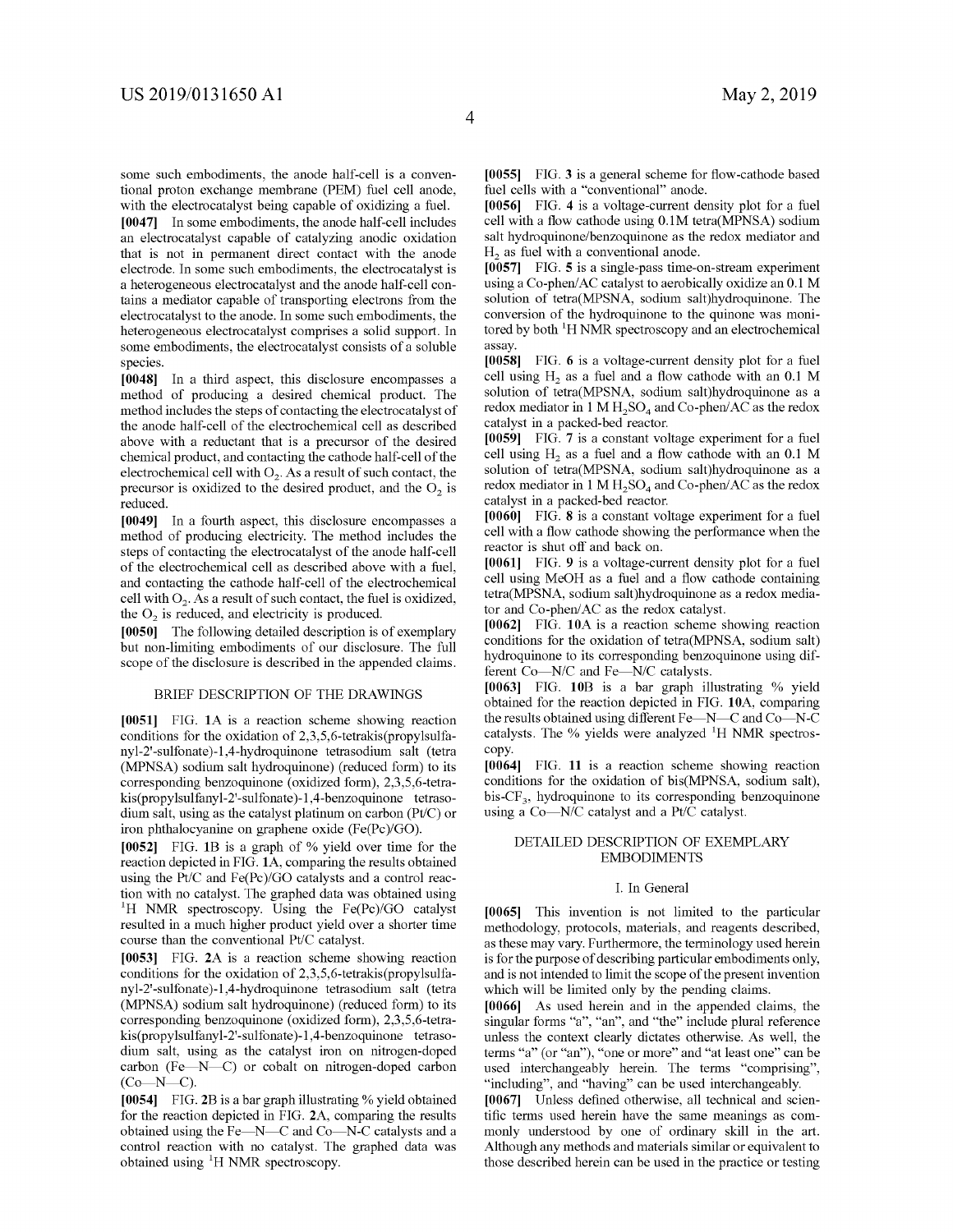some such embodiments, the anode half-cell is a conventional proton exchange membrane (PEM) fuel cell anode, with the electrocatalyst being capable of oxidizing a fuel.

**[0047]** In some embodiments, the anode half-cell includes an electrocatalyst capable of catalyzing anodic oxidation that is not in permanent direct contact with the anode electrode. In some such embodiments, the electrocatalyst is a heterogeneous electrocatalyst and the anode half-cell contains a mediator capable of transporting electrons from the electrocatalyst to the anode. In some such embodiments, the heterogeneous electrocatalyst comprises a solid support. In some embodiments, the electrocatalyst consists of a soluble species.

**[0048]** In a third aspect, this disclosure encompasses a method of producing a desired chemical product. The method includes the steps of contacting the electrocatalyst of the anode half-cell of the electrochemical cell as described above with a reductant that is a precursor of the desired chemical product, and contacting the cathode half-cell of the electrochemical cell with  $O_2$ . As a result of such contact, the precursor is oxidized to the desired product, and the  $O<sub>2</sub>$  is reduced.

**[0049]** In a fourth aspect, this disclosure encompasses a method of producing electricity. The method includes the steps of contacting the electrocatalyst of the anode half-cell of the electrochemical cell as described above with a fuel, and contacting the cathode half-cell of the electrochemical cell with  $O_2$ . As a result of such contact, the fuel is oxidized, the  $O<sub>2</sub>$  is reduced, and electricity is produced.

**[0050]** The following detailed description is of exemplary but non-limiting embodiments of our disclosure. The full scope of the disclosure is described in the appended claims.

#### BRIEF DESCRIPTION OF THE DRAWINGS

**[0051]** FIG. **lA** is a reaction scheme showing reaction conditions for the oxidation of 2,3,5,6-tetrakis(propylsulfanyl-2'-sulfonate)-1,4-hydroquinone tetrasodium salt (tetra (MPNSA) sodium salt hydroquinone) (reduced form) to its corresponding benzoquinone (oxidized form), 2,3,5,6-tetrakis(propylsulfanyl-2'-sulfonate )-1,4-benzoquinone tetrasodium salt, using as the catalyst platinum on carbon (Pt/C) or iron phthalocyanine on graphene oxide (Fe(Pc)/GO).

**[0052]** FIG. **1B** is a graph of% yield over time for the reaction depicted in FIG. **lA,** comparing the results obtained using the Pt/C and Fe(Pc)/GO catalysts and a control reaction with no catalyst. The graphed data was obtained using 1 <sup>1</sup>H NMR spectroscopy. Using the Fe(Pc)/GO catalyst resulted in a much higher product yield over a shorter time course than the conventional Pt/C catalyst.

**[0053]** FIG. **2A** is a reaction scheme showing reaction conditions for the oxidation of 2,3,5,6-tetrakis(propylsulfanyl-2'-sulfonate )-1,4-hydroquinone tetrasodium salt (tetra (MPNSA) sodium salt hydroquinone) (reduced form) to its corresponding benzoquinone (oxidized form), 2,3,5,6-tetrakis(propylsulfanyl-2'-sulfonate )-1,4-benzoquinone tetrasodium salt, using as the catalyst iron on nitrogen-doped carbon (Fe $-N-C$ ) or cobalt on nitrogen-doped carbon  $(Co-N-C)$ .

**[0054]** FIG. **2B** is a bar graph illustrating% yield obtained for the reaction depicted in FIG. **2A,** comparing the results obtained using the Fe-N-C and Co-N-C catalysts and a control reaction with no catalyst. The graphed data was obtained using <sup>1</sup>H NMR spectroscopy.

**[0055]** FIG. **3** is a general scheme for flow-cathode based fuel cells with a "conventional" anode.

**[0056]** FIG. **4** is a voltage-current density plot for a fuel cell with a flow cathode using 0.lM tetra(MPNSA) sodium salt hydroquinone/benzoquinone as the redox mediator and  $H<sub>2</sub>$  as fuel with a conventional anode.

**[0057]** FIG. **5** is a single-pass time-on-stream experiment using a Co-phen/AC catalyst to aerobically oxidize an 0.1 M solution of tetra(MPSNA, sodium salt)hydroquinone. The conversion of the hydroquinone to the quinone was monitored by both  ${}^{1}$ H NMR spectroscopy and an electrochemical assay.

**[0058]** FIG. **6** is a voltage-current density plot for a fuel cell using  $H_2$  as a fuel and a flow cathode with an 0.1 M solution of tetra(MPSNA, sodium salt)hydroquinone as a redox mediator in 1 M  $H_2SO_4$  and Co-phen/AC as the redox catalyst in a packed-bed reactor.

**[0059]** FIG. **7** is a constant voltage experiment for a fuel cell using  $H<sub>2</sub>$  as a fuel and a flow cathode with an 0.1 M solution of tetra(MPSNA, sodium salt)hydroquinone as a redox mediator in 1 M  $H_2SO_4$  and Co-phen/AC as the redox catalyst in a packed-bed reactor.

**[0060]** FIG. **8** is a constant voltage experiment for a fuel cell with a flow cathode showing the performance when the reactor is shut off and back on.

**[0061]** FIG. **9** is a voltage-current density plot for a fuel cell using MeOH as a fuel and a flow cathode containing tetra(MPSNA, sodium salt)hydroquinone as a redox mediator and Co-phen/AC as the redox catalyst.

**[0062]** FIG. **l0A** is a reaction scheme showing reaction conditions for the oxidation of tetra(MPNSA, sodium salt) hydroquinone to its corresponding benzoquinone using different Co-N/C and Fe-N/C catalysts.

**[0063]** FIG. **l0B** is a bar graph illustrating % yield obtained for the reaction depicted in FIG. **l0A,** comparing the results obtained using different Fe-N-C and Co-N-C catalysts. The % yields were analyzed <sup>1</sup>H NMR spectroscopy.

**[0064]** FIG. **11** is a reaction scheme showing reaction conditions for the oxidation of bis(MPNSA, sodium salt), bis- $CF_3$ , hydroquinone to its corresponding benzoquinone using a Co-N/C catalyst and a Pt/C catalyst.

#### DETAILED DESCRIPTION OF EXEMPLARY EMBODIMENTS

#### I. In General

**[0065]** This invention is not limited to the particular methodology, protocols, materials, and reagents described, as these may vary. Furthermore, the terminology used herein is for the purpose of describing particular embodiments only, and is not intended to limit the scope of the present invention which will be limited only by the pending claims.

**[0066]** As used herein and in the appended claims, the singular forms "a", "an", and "the" include plural reference unless the context clearly dictates otherwise. As well, the terms "a" ( or "an"), "one or more" and "at least one" can be used interchangeably herein. The terms "comprising", "including", and "having" can be used interchangeably.

**[0067]** Unless defined otherwise, all technical and scientific terms used herein have the same meanings as commonly understood by one of ordinary skill in the art. Although any methods and materials similar or equivalent to those described herein can be used in the practice or testing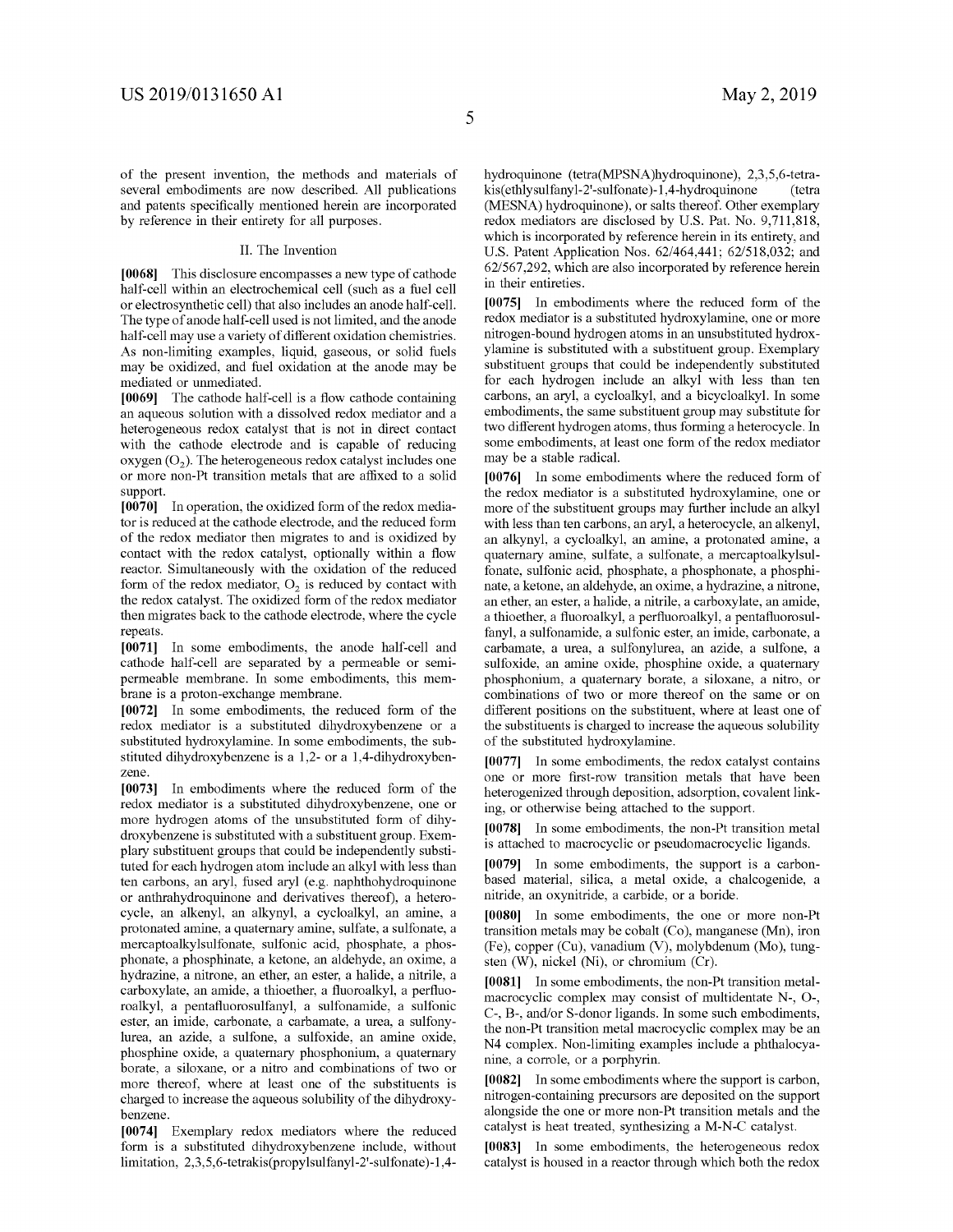of the present invention, the methods and materials of several embodiments are now described. All publications and patents specifically mentioned herein are incorporated by reference in their entirety for all purposes.

#### II. The Invention

**[0068]** This disclosure encompasses a new type of cathode half-cell within an electrochemical cell (such as a fuel cell or electro synthetic cell) that also includes an anode half-cell. The type of anode half-cell used is not limited, and the anode half-cell may use a variety of different oxidation chemistries. As non-limiting examples, liquid, gaseous, or solid fuels may be oxidized, and fuel oxidation at the anode may be mediated or unmediated.

**[0069]** The cathode half-cell is a flow cathode containing an aqueous solution with a dissolved redox mediator and a heterogeneous redox catalyst that is not in direct contact with the cathode electrode and is capable of reducing oxygen  $(O_2)$ . The heterogeneous redox catalyst includes one or more non-Pt transition metals that are affixed to a solid support.

**[0070]** In operation, the oxidized form of the redox mediator is reduced at the cathode electrode, and the reduced form of the redox mediator then migrates to and is oxidized by contact with the redox catalyst, optionally within a flow reactor. Simultaneously with the oxidation of the reduced form of the redox mediator,  $O_2$  is reduced by contact with the redox catalyst. The oxidized form of the redox mediator then migrates back to the cathode electrode, where the cycle repeats.

**[0071]** In some embodiments, the anode half-cell and cathode half-cell are separated by a permeable or semipermeable membrane. In some embodiments, this membrane is a proton-exchange membrane.

**[0072]** In some embodiments, the reduced form of the redox mediator is a substituted dihydroxybenzene or a substituted hydroxylamine. In some embodiments, the substituted dihydroxybenzene is a 1,2- or a 1,4-dihydroxybenzene.

**[0073]** In embodiments where the reduced form of the redox mediator is a substituted dihydroxybenzene, one or more hydrogen atoms of the unsubstituted form of dihydroxybenzene is substituted with a substituent group. Exemplary substituent groups that could be independently substituted for each hydrogen atom include an alkyl with less than ten carbons, an aryl, fused aryl (e.g. naphthohydroquinone or anthrahydroquinone and derivatives thereof), a heterocycle, an alkenyl, an alkynyl, a cycloalkyl, an amine, a protonated amine, a quaternary amine, sulfate, a sulfonate, a mercaptoalkylsulfonate, sulfonic acid, phosphate, a phosphonate, a phosphinate, a ketone, an aldehyde, an oxime, a hydrazine, a nitrone, an ether, an ester, a halide, a nitrile, a carboxylate, an amide, a thioether, a fluoroalkyl, a perfluoroalkyl, a pentafluorosulfanyl, a sulfonamide, a sulfonic ester, an imide, carbonate, a carbamate, a urea, a sulfonylurea, an azide, a sulfone, a sulfoxide, an amine oxide, phosphine oxide, a quaternary phosphonium, a quaternary borate, a siloxane, or a nitro and combinations of two or more thereof, where at least one of the substituents is charged to increase the aqueous solubility of the dihydroxybenzene.

**[0074]** Exemplary redox mediators where the reduced form is a substituted dihydroxybenzene include, without limitation, 2,3,5,6-tetrakis(propylsulfanyl-2'-sulfonate )-1,4hydroquinone (tetra(MPSNA)hydroquinone), 2,3,5,6-tetrakis( ethlysulfanyl-2'-sulfonate )-1,4-hydroquinone (tetra (MESNA) hydroquinone), or salts thereof. Other exemplary redox mediators are disclosed by U.S. Pat. No. 9,711,818, which is incorporated by reference herein in its entirety, and U.S. Patent Application Nos. 62/464,441; 62/518,032; and 62/567,292, which are also incorporated by reference herein in their entireties.

**[0075]** In embodiments where the reduced form of the redox mediator is a substituted hydroxylamine, one or more nitrogen-bound hydrogen atoms in an unsubstituted hydroxylamine is substituted with a substituent group. Exemplary substituent groups that could be independently substituted for each hydrogen include an alkyl with less than ten carbons, an aryl, a cycloalkyl, and a bicycloalkyl. In some embodiments, the same substituent group may substitute for two different hydrogen atoms, thus forming a heterocycle. In some embodiments, at least one form of the redox mediator may be a stable radical.

**[0076]** In some embodiments where the reduced form of the redox mediator is a substituted hydroxylamine, one or more of the substituent groups may further include an alkyl with less than ten carbons, an aryl, a heterocycle, an alkenyl, an alkynyl, a cycloalkyl, an amine, a protonated amine, a quaternary amine, sulfate, a sulfonate, a mercaptoalkylsulfonate, sulfonic acid, phosphate, a phosphonate, a phosphinate, a ketone, an aldehyde, an oxime, a hydrazine, a nitrone, an ether, an ester, a halide, a nitrile, a carboxylate, an amide, a thioether, a fluoroalkyl, a perfluoroalkyl, a pentafluorosulfanyl, a sulfonamide, a sulfonic ester, an imide, carbonate, a carbamate, a urea, a sulfonylurea, an azide, a sulfone, a sulfoxide, an amine oxide, phosphine oxide, a quaternary phosphonium, a quaternary borate, a siloxane, a nitro, or combinations of two or more thereof on the same or on different positions on the substituent, where at least one of the substituents is charged to increase the aqueous solubility of the substituted hydroxylamine.

**[0077]** In some embodiments, the redox catalyst contains one or more first-row transition metals that have been heterogenized through deposition, adsorption, covalent linking, or otherwise being attached to the support.

**[0078]** In some embodiments, the non-Pt transition metal is attached to macrocyclic or pseudomacrocyclic ligands.

**[0079]** In some embodiments, the support is a carbonbased material, silica, a metal oxide, a chalcogenide, a nitride, an oxynitride, a carbide, or a boride.

**[0080]** In some embodiments, the one or more non-Pt transition metals may be cobalt (Co), manganese (Mn), iron (Fe), copper (Cu), vanadium (V), molybdenum (Mo), tungsten (W), nickel (Ni), or chromium (Cr).

**[0081]** In some embodiments, the non-Pt transition metalmacrocyclic complex may consist of multidentate N-, 0-, C-, B-, and/or S-donor ligands. In some such embodiments, the non-Pt transition metal macrocyclic complex may be an N4 complex. Non-limiting examples include a phthalocyanine, a corrole, or a porphyrin.

**[0082]** In some embodiments where the support is carbon, nitrogen-containing precursors are deposited on the support alongside the one or more non-Pt transition metals and the catalyst is heat treated, synthesizing a M-N-C catalyst.

**[0083]** In some embodiments, the heterogeneous redox catalyst is housed in a reactor through which both the redox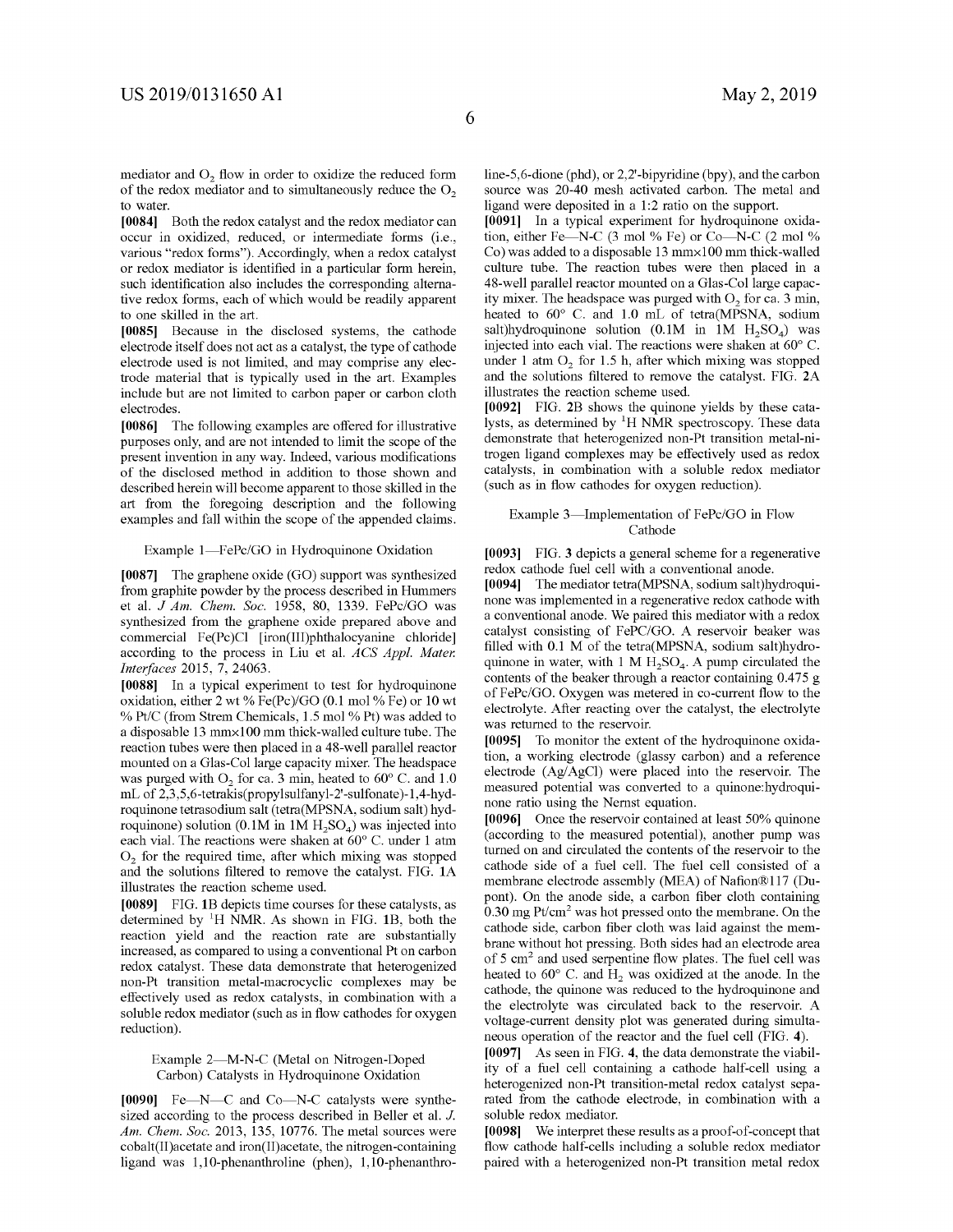mediator and O<sub>2</sub> flow in order to oxidize the reduced form of the redox mediator and to simultaneously reduce the  $O<sub>2</sub>$ to water.

**[0084]** Both the redox catalyst and the redox mediator can occur in oxidized, reduced, or intermediate forms (i.e., various "redox forms"). Accordingly, when a redox catalyst or redox mediator is identified in a particular form herein, such identification also includes the corresponding alternative redox forms, each of which would be readily apparent to one skilled in the art.

**[0085]** Because in the disclosed systems, the cathode electrode itself does not act as a catalyst, the type of cathode electrode used is not limited, and may comprise any electrode material that is typically used in the art. Examples include but are not limited to carbon paper or carbon cloth electrodes.

**[0086]** The following examples are offered for illustrative purposes only, and are not intended to limit the scope of the present invention in any way. Indeed, various modifications of the disclosed method in addition to those shown and described herein will become apparent to those skilled in the art from the foregoing description and the following examples and fall within the scope of the appended claims.

#### Example 1-FePc/GO in Hydroquinone Oxidation

**[0087]** The graphene oxide (GO) support was synthesized from graphite powder by the process described in Hummers et al. *J Am. Chem. Soc.* 1958, 80, 1339. FePc/GO was synthesized from the graphene oxide prepared above and commercial Fe(Pc)Cl [iron(III)phthalocyanine chloride] according to the process in Liu et al. *ACS Appl. Mater. Interfaces* 2015, 7, 24063.

**[0088]** In a typical experiment to test for hydroquinone oxidation, either 2 wt% Fe(Pc)/GO (0.1 mo!% Fe) or 10 wt % Pt/C (from Strem Chemicals, 1.5 mo! % Pt) was added to a disposable 13 mmxl00 mm thick-walled culture tube. The reaction tubes were then placed in a 48-well parallel reactor mounted on a Glas-Col large capacity mixer. The headspace was purged with  $O_2$  for ca. 3 min, heated to 60° C. and 1.0 mL of 2,3,5,6-tetrakis(propylsulfanyl-2'-sulfonate )-1,4-hydroquinone tetrasodium salt (tetra(MPSNA, sodium salt) hydroquinone) solution (0.1M in  $1M H_2SO_4$ ) was injected into each vial. The reactions were shaken at 60° C. under 1 atm  $O<sub>2</sub>$  for the required time, after which mixing was stopped and the solutions filtered to remove the catalyst. FIG. **lA**  illustrates the reaction scheme used.

**[0089]** FIG. **lB** depicts time courses for these catalysts, as determined by <sup>1</sup> H NMR. As shown in FIG. **lB,** both the reaction yield and the reaction rate are substantially increased, as compared to using a conventional Pt on carbon redox catalyst. These data demonstrate that heterogenized non-Pt transition metal-macrocyclic complexes may be effectively used as redox catalysts, in combination with a soluble redox mediator (such as in flow cathodes for oxygen reduction).

#### Example 2-M-N-C (Metal on Nitrogen-Doped Carbon) Catalysts in Hydroquinone Oxidation

[0090] Fe-N-C and Co-N-C catalysts were synthesized according to the process described in Beller et al. J. *Am. Chem. Soc.* 2013, 135, 10776. The metal sources were cobalt(II)acetate and iron(II)acetate, the nitrogen-containing ligand was 1,10-phenanthroline (phen), 1,10-phenanthroline-5,6-dione (phd), or 2,2'-bipyridine (bpy), and the carbon source was 20-40 mesh activated carbon. The metal and ligand were deposited in a 1:2 ratio on the support.

**[0091]** In a typical experiment for hydroquinone oxidation, either Fe-N-C (3 mol % Fe) or Co-N-C (2 mol % Co) was added to a disposable 13 mmxl00 mm thick-walled culture tube. The reaction tubes were then placed in a 48-well parallel reactor mounted on a Glas-Col large capacity mixer. The headspace was purged with  $O<sub>2</sub>$  for ca. 3 min, heated to 60° C. and 1.0 mL of tetra(MPSNA, sodium salt)hydroquinone solution  $(0.1M)$  in  $1M$   $H<sub>2</sub>SO<sub>4</sub>$  was injected into each vial. The reactions were shaken at 60° C. under 1 atm  $O<sub>2</sub>$  for 1.5 h, after which mixing was stopped and the solutions filtered to remove the catalyst. FIG. **2A**  illustrates the reaction scheme used.

**[0092]** FIG. **2B** shows the quinone yields by these catalysts, as determined by  ${}^{1}$ H NMR spectroscopy. These data demonstrate that heterogenized non-Pt transition metal-nitrogen ligand complexes may be effectively used as redox catalysts, in combination with a soluble redox mediator (such as in flow cathodes for oxygen reduction).

#### Example 3-Implementation of FePc/GO in Flow Cathode

**[0093]** FIG. **3** depicts a general scheme for a regenerative redox cathode fuel cell with a conventional anode.

**[0094]** The mediator tetra(MPSNA, sodium salt)hydroquinone was implemented in a regenerative redox cathode with a conventional anode. We paired this mediator with a redox catalyst consisting of FePC/GO. A reservoir beaker was filled with 0.1 M of the tetra(MPSNA, sodium salt)hydroquinone in water, with 1 M  $H_2SO_4$ . A pump circulated the contents of the beaker through a reactor containing 0.475 g of FePc/GO. Oxygen was metered in co-current flow to the electrolyte. After reacting over the catalyst, the electrolyte was returned to the reservoir.

**[0095]** To monitor the extent of the hydroquinone oxidation, a working electrode (glassy carbon) and a reference electrode (Ag/AgCI) were placed into the reservoir. The measured potential was converted to a quinone:hydroquinone ratio using the Nernst equation.

**[0096]** Once the reservoir contained at least 50% quinone (according to the measured potential), another pump was turned on and circulated the contents of the reservoir to the cathode side of a fuel cell. The fuel cell consisted of a membrane electrode assembly (MEA) of Nafion®117 (Dupont). On the anode side, a carbon fiber cloth containing  $0.30 \text{ mg Pt/cm}^2$  was hot pressed onto the membrane. On the cathode side, carbon fiber cloth was laid against the membrane without hot pressing. Both sides had an electrode area of 5 cm<sup>2</sup> and used serpentine flow plates. The fuel cell was heated to  $60^{\circ}$  C. and H<sub>2</sub> was oxidized at the anode. In the cathode, the quinone was reduced to the hydroquinone and the electrolyte was circulated back to the reservoir. A voltage-current density plot was generated during simultaneous operation of the reactor and the fuel cell (FIG. **4).** 

**[0097]** As seen in FIG. **4,** the data demonstrate the viability of a fuel cell containing a cathode half-cell using a heterogenized non-Pt transition-metal redox catalyst separated from the cathode electrode, in combination with a soluble redox mediator.

**[0098]** We interpret these results as a proof-of-concept that flow cathode half-cells including a soluble redox mediator paired with a heterogenized non-Pt transition metal redox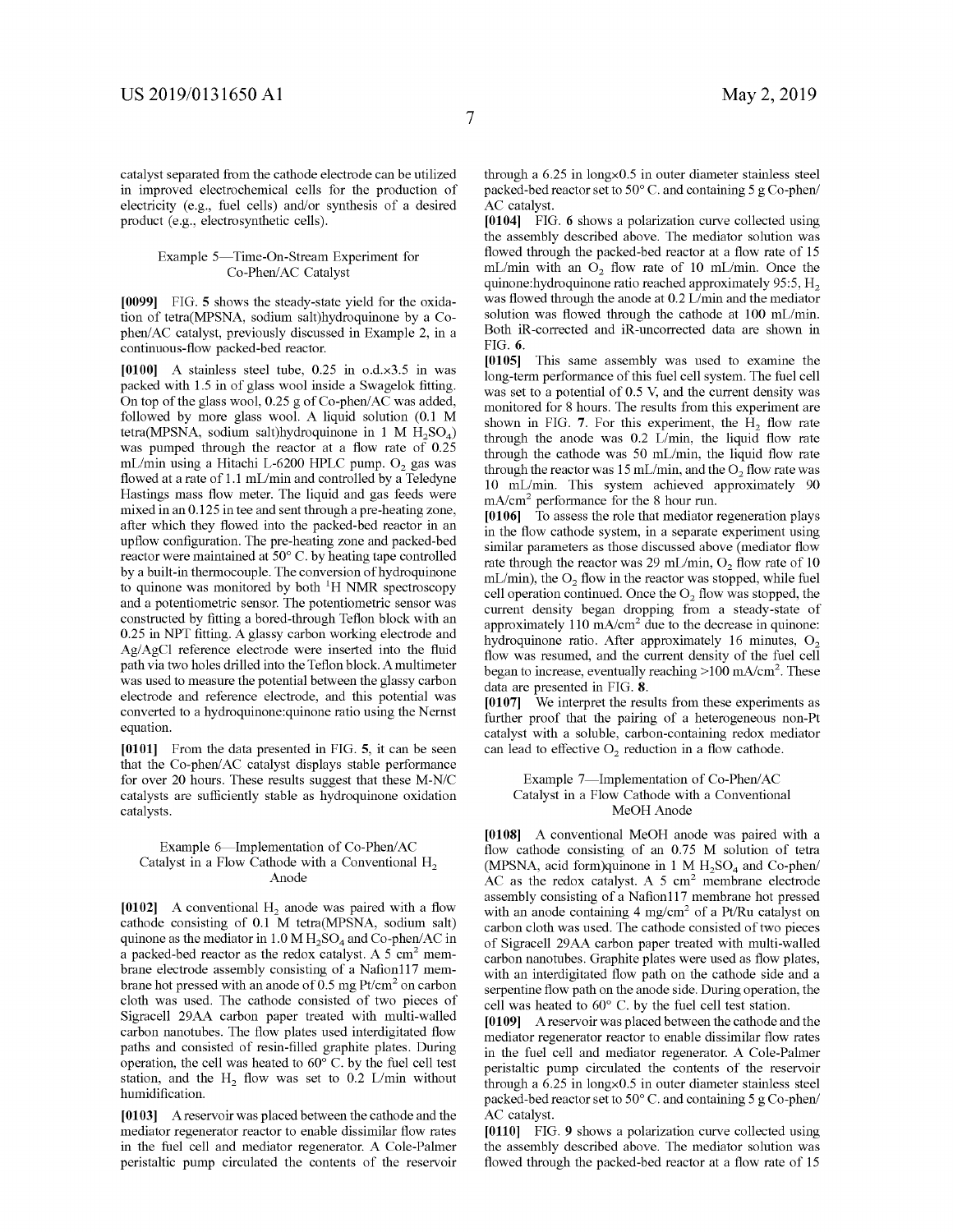catalyst separated from the cathode electrode can be utilized in improved electrochemical cells for the production of electricity (e.g., fuel cells) and/or synthesis of a desired product (e.g., electrosynthetic cells).

#### Example 5-Time-On-Stream Experiment for Co-Phen/AC Catalyst

**[0099]** FIG. **5** shows the steady-state yield for the oxidation of tetra(MPSNA, sodium salt)hydroquinone by a Cophen/AC catalyst, previously discussed in Example 2, in a continuous-flow packed-bed reactor.

**[0100]** A stainless steel tube, 0.25 in o.d.x3.5 in was packed with 1.5 in of glass wool inside a Swagelok fitting. On top of the glass wool, 0.25 g of Co-phen/AC was added, followed by more glass wool. A liquid solution (0.1 M tetra(MPSNA, sodium salt)hydroquinone in 1 M  $H<sub>5</sub>SO<sub>4</sub>$ ) was pumped through the reactor at a flow rate of 0.25 mL/min using a Hitachi L-6200 HPLC pump.  $O<sub>2</sub>$  gas was flowed at a rate of 1.1 mL/min and controlled by a Teledyne Hastings mass flow meter. The liquid and gas feeds were mixed in an 0.125 in tee and sent through a pre-heating zone, after which they flowed into the packed-bed reactor in an upflow configuration. The pre-heating zone and packed-bed reactor were maintained at 50° C. by heating tape controlled by a built-in thermocouple. The conversion of hydroquinone to quinone was monitored by both  $H$  NMR spectroscopy and a potentiometric sensor. The potentiometric sensor was constructed by fitting a bored-through Teflon block with an 0.25 in NPT fitting. A glassy carbon working electrode and Ag/AgCl reference electrode were inserted into the fluid path via two holes drilled into the Teflon block. A multimeter was used to measure the potential between the glassy carbon electrode and reference electrode, and this potential was converted to a hydroquinone:quinone ratio using the Nernst equation.

**[0101]** From the data presented in FIG. **5,** it can be seen that the Co-phen/AC catalyst displays stable performance for over 20 hours. These results suggest that these M-N/C catalysts are sufficiently stable as hydroquinone oxidation catalysts.

#### Example 6-Implementation of Co-Phen/AC Catalyst in a Flow Cathode with a Conventional  $H<sub>2</sub>$ Anode

[0102] A conventional  $H_2$  anode was paired with a flow cathode consisting of 0.1 M tetra(MPSNA, sodium salt) quinone as the mediator in  $1.0 M H<sub>2</sub>SO<sub>4</sub>$  and Co-phen/AC in a packed-bed reactor as the redox catalyst. A  $5 \text{ cm}^2$  membrane electrode assembly consisting of a Nafion117 membrane hot pressed with an anode of  $0.5 \text{ mg Pt/cm}^2$  on carbon cloth was used. The cathode consisted of two pieces of Sigracell 29AA carbon paper treated with multi-walled carbon nanotubes. The flow plates used interdigitated flow paths and consisted of resin-filled graphite plates. During operation, the cell was heated to 60° C. by the fuel cell test station, and the  $H_2$  flow was set to 0.2 L/min without humidification.

**[0103]** A reservoir was placed between the cathode and the mediator regenerator reactor to enable dissimilar flow rates in the fuel cell and mediator regenerator. A Cole-Palmer peristaltic pump circulated the contents of the reservoir through a 6.25 in longx0.5 in outer diameter stainless steel packed-bed reactor set to 50° C. and containing 5 g Co-phen/ AC catalyst.

**[0104]** FIG. **6** shows a polarization curve collected using the assembly described above. The mediator solution was flowed through the packed-bed reactor at a flow rate of 15 mL/min with an  $O_2$  flow rate of 10 mL/min. Once the quinone: hydroquinone ratio reached approximately 95:5,  $H_2$ was flowed through the anode at 0.2 L/min and the mediator solution was flowed through the cathode at 100 mL/min. Both iR-corrected and iR-uncorrected data are shown in FIG. **6.** 

**[0105]** This same assembly was used to examine the long-term performance of this fuel cell system. The fuel cell was set to a potential of 0.5 V, and the current density was monitored for 8 hours. The results from this experiment are shown in FIG. 7. For this experiment, the H<sub>2</sub> flow rate through the anode was  $0.2$  L/min, the liquid flow rate through the cathode was 50 mL/min, the liquid flow rate through the reactor was 15 mL/min, and the  $O_2$  flow rate was 10 mUmin. This system achieved approximately 90  $mA/cm<sup>2</sup>$  performance for the 8 hour run.

**[0106]** To assess the role that mediator regeneration plays in the flow cathode system, in a separate experiment using similar parameters as those discussed above (mediator flow rate through the reactor was 29 mL/min,  $O_2$  flow rate of 10 mL/min), the  $O_2$  flow in the reactor was stopped, while fuel cell operation continued. Once the  $O<sub>2</sub>$  flow was stopped, the current density began dropping from a steady-state of approximately 110 mA/cm<sup>2</sup> due to the decrease in quinone: hydroquinone ratio. After approximately 16 minutes,  $O<sub>2</sub>$ flow was resumed, and the current density of the fuel cell began to increase, eventually reaching >100 mA/cm<sup>2</sup>. These data are presented in FIG. **8.** 

**[0107]** We interpret the results from these experiments as further proof that the pairing of a heterogeneous non-Pt catalyst with a soluble, carbon-containing redox mediator can lead to effective  $O_2$  reduction in a flow cathode.

#### Example 7-Implementation of Co-Phen/AC Catalyst in a Flow Cathode with a Conventional MeOH Anode

**[0108]** A conventional MeOH anode was paired with a flow cathode consisting of an 0.75 M solution of tetra (MPSNA, acid form)quinone in 1 M  $H_2SO_4$  and Co-phen/ AC as the redox catalyst. A  $5 \text{ cm}^2$  membrane electrode assembly consisting of a Nafion117 membrane hot pressed with an anode containing 4 mg/cm<sup>2</sup> of a Pt/Ru catalyst on carbon cloth was used. The cathode consisted of two pieces of Sigracell 29AA carbon paper treated with multi-walled carbon nanotubes. Graphite plates were used as flow plates, with an interdigitated flow path on the cathode side and a serpentine flow path on the anode side. During operation, the cell was heated to 60° C. by the fuel cell test station.

**[0109]** A reservoir was placed between the cathode and the mediator regenerator reactor to enable dissimilar flow rates in the fuel cell and mediator regenerator. A Cole-Palmer peristaltic pump circulated the contents of the reservoir through a 6.25 in longx0.5 in outer diameter stainless steel packed-bed reactor set to 50° C. and containing 5 g Co-phen/ AC catalyst.

**[0110]** FIG. **9** shows a polarization curve collected using the assembly described above. The mediator solution was flowed through the packed-bed reactor at a flow rate of 15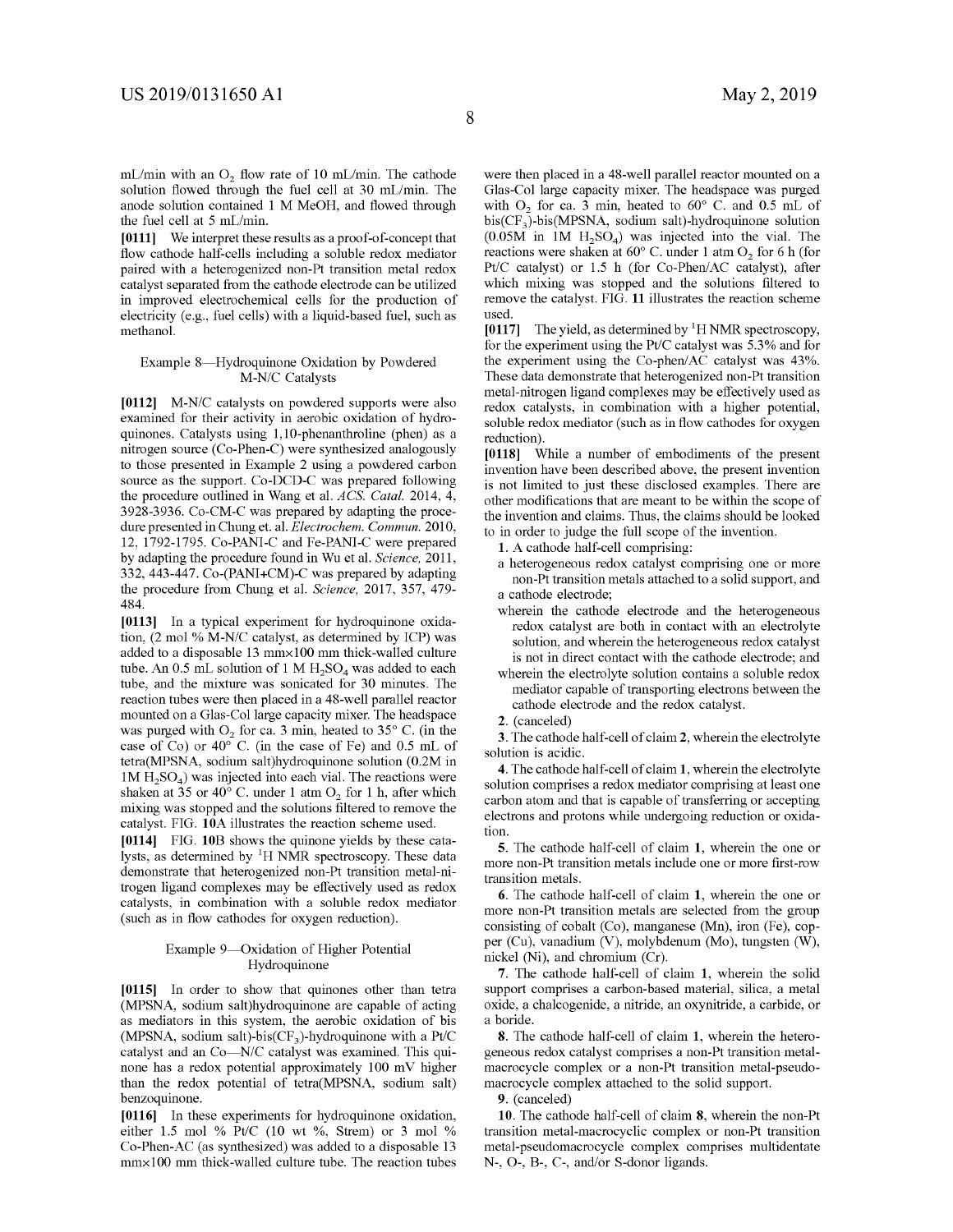mL/min with an  $O_2$  flow rate of 10 mL/min. The cathode solution flowed through the fuel cell at 30 mL/min. The anode solution contained 1 M MeOH, and flowed through the fuel cell at 5 mL/min.

**[0111]** We interpret these results as a proof-of-concept that flow cathode half-cells including a soluble redox mediator paired with a heterogenized non-Pt transition metal redox catalyst separated from the cathode electrode can be utilized in improved electrochemical cells for the production of electricity (e.g., fuel cells) with a liquid-based fuel, such as methanol.

#### Example 8-Hydroquinone Oxidation by Powdered M-N/C Catalysts

**[0112]** M-N/C catalysts on powdered supports were also examined for their activity in aerobic oxidation of hydroquinones. Catalysts using 1,10-phenanthroline (phen) as a nitrogen source (Co-Phen-C) were synthesized analogously to those presented in Example 2 using a powdered carbon source as the support. Co-DCD-C was prepared following the procedure outlined in Wang et al. *ACS. Cata!.* 2014, 4, 3928-3936. Co-CM-C was prepared by adapting the procedure presented in Chung et. al. *Electrochem. Commun.* 2010, 12, 1792-1795. Co-PANI-C and Fe-PANI-C were prepared by adapting the procedure found in Wu et al. *Science,* 2011, 332, 443-447. Co-(PANI+CM)-C was prepared by adapting the procedure from Chung et al. *Science,* 2017, 357, 479- 484.

**[0113]** In a typical experiment for hydroquinone oxidation, (2 mo!% M-N/C catalyst, as determined by ICP) was added to a disposable 13 mm×100 mm thick-walled culture tube. An 0.5 mL solution of 1 M  $H_2SO_4$  was added to each tube, and the mixture was sonicated for 30 minutes. The reaction tubes were then placed in a 48-well parallel reactor mounted on a Glas-Col large capacity mixer. The headspace was purged with  $O_2$  for ca. 3 min, heated to 35 $\degree$  C. (in the case of Co) or  $40^{\circ}$  C. (in the case of Fe) and 0.5 mL of tetra(MPSNA, sodium salt)hydroquinone solution (0.2M in  $1M H<sub>2</sub>SO<sub>4</sub>$  was injected into each vial. The reactions were shaken at 35 or 40 $^{\circ}$  C. under 1 atm O<sub>2</sub> for 1 h, after which mixing was stopped and the solutions filtered to remove the catalyst. FIG. **lOA** illustrates the reaction scheme used.

**[0114]** FIG. **10B** shows the quinone yields by these catalysts, as determined by  ${}^{1}$ H NMR spectroscopy. These data demonstrate that heterogenized non-Pt transition metal-nitrogen ligand complexes may be effectively used as redox catalysts, in combination with a soluble redox mediator (such as in flow cathodes for oxygen reduction).

#### Example 9-Oxidation of Higher Potential Hydroquinone

**[0115]** In order to show that quinones other than tetra (MPSNA, sodium salt)hydroquinone are capable of acting as mediators in this system, the aerobic oxidation of bis (MPSNA, sodium salt)-bis( $CF_3$ )-hydroquinone with a Pt/C catalyst and an Co-N/C catalyst was examined. This quinone has a redox potential approximately 100 mV higher than the redox potential of tetra(MPSNA, sodium salt) benzoquinone.

**[0116]** In these experiments for hydroquinone oxidation, either 1.5 mo! % Pt/C (10 wt %, Strem) or 3 mo! % Co-Phen-AC (as synthesized) was added to a disposable 13 mmxl00 mm thick-walled culture tube. The reaction tubes

were then placed in a 48-well parallel reactor mounted on a Glas-Col large capacity mixer. The headspace was purged with  $O_2$  for ca. 3 min, heated to  $60^{\circ}$  C. and 0.5 mL of  $bis(CF_3)$ -bis(MPSNA, sodium salt)-hydroquinone solution  $(0.05M$  in 1M  $H_2SO_4$ ) was injected into the vial. The reactions were shaken at  $60^{\circ}$  C. under 1 atm  $O_2$  for 6 h (for Pt/C catalyst) or 1.5 h (for Co-Phen/AC catalyst), after which mixing was stopped and the solutions filtered to remove the catalyst. FIG. **11** illustrates the reaction scheme used.

[0117] The yield, as determined by  ${}^{1}$ H NMR spectroscopy, for the experiment using the Pt/C catalyst was 5.3% and for the experiment using the Co-phen/AC catalyst was 43%. These data demonstrate that heterogenized non-Pt transition metal-nitrogen ligand complexes may be effectively used as redox catalysts, in combination with a higher potential, soluble redox mediator (such as in flow cathodes for oxygen reduction).

**[0118]** While a number of embodiments of the present invention have been described above, the present invention is not limited to just these disclosed examples. There are other modifications that are meant to be within the scope of the invention and claims. Thus, the claims should be looked to in order to judge the full scope of the invention.

**1.** A cathode half-cell comprising:

a heterogeneous redox catalyst comprising one or more non-Pt transition metals attached to a solid support, and a cathode electrode;

- wherein the cathode electrode and the heterogeneous redox catalyst are both in contact with an electrolyte solution, and wherein the heterogeneous redox catalyst is not in direct contact with the cathode electrode; and
- wherein the electrolyte solution contains a soluble redox mediator capable of transporting electrons between the cathode electrode and the redox catalyst.

**3.** The cathode half-cell of claim **2,** wherein the electrolyte solution is acidic.

**4.** The cathode half-cell of claim **1,** wherein the electrolyte solution comprises a redox mediator comprising at least one carbon atom and that is capable of transferring or accepting electrons and protons while undergoing reduction or oxidation.

**5.** The cathode half-cell of claim **1,** wherein the one or more non-Pt transition metals include one or more first-row transition metals.

**6.** The cathode half-cell of claim **1,** wherein the one or more non-Pt transition metals are selected from the group consisting of cobalt (Co), manganese (Mn), iron (Fe), copper (Cu), vanadium (V), molybdenum (Mo), tungsten (W), nickel (Ni), and chromium (Cr).

**7.** The cathode half-cell of claim **1,** wherein the solid support comprises a carbon-based material, silica, a metal oxide, a chalcogenide, a nitride, an oxynitride, a carbide, or a boride.

**8.** The cathode half-cell of claim **1,** wherein the heterogeneous redox catalyst comprises a non-Pt transition metalmacrocycle complex or a non-Pt transition metal-pseudomacrocycle complex attached to the solid support.

**9.** (canceled)

**10.** The cathode half-cell of claim **8,** wherein the non-Pt transition metal-macrocyclic complex or non-Pt transition metal-pseudomacrocycle complex comprises multidentate N-, 0-, B-, C-, and/or S-donor ligands.

**<sup>2.</sup>** (canceled)